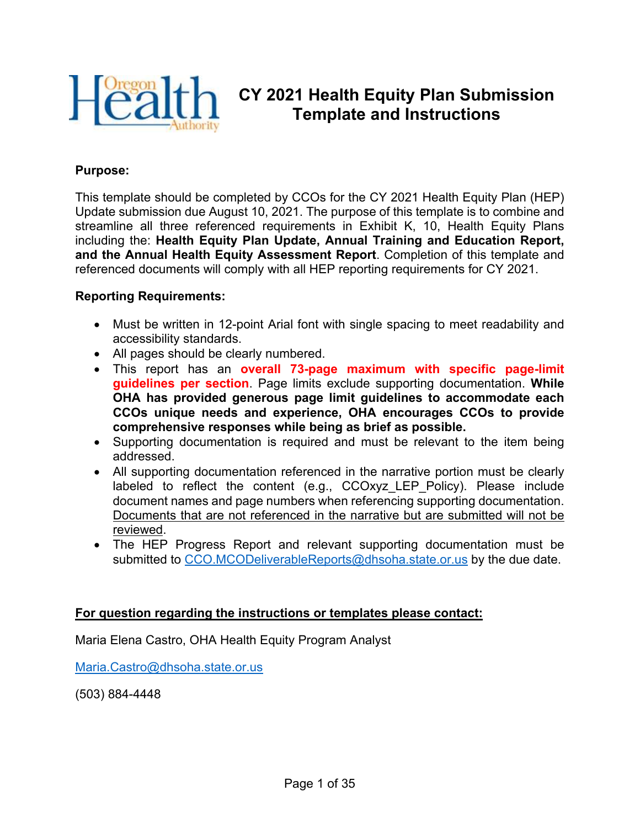

## **CY 2021 Health Equity Plan Submission Template and Instructions**

#### **Purpose:**

This template should be completed by CCOs for the CY 2021 Health Equity Plan (HEP) Update submission due August 10, 2021. The purpose of this template is to combine and streamline all three referenced requirements in Exhibit K, 10, Health Equity Plans including the: **Health Equity Plan Update, Annual Training and Education Report, and the Annual Health Equity Assessment Report**. Completion of this template and referenced documents will comply with all HEP reporting requirements for CY 2021.

#### **Reporting Requirements:**

- Must be written in 12-point Arial font with single spacing to meet readability and accessibility standards.
- All pages should be clearly numbered.
- This report has an **overall 73-page maximum with specific page-limit guidelines per section**. Page limits exclude supporting documentation. **While OHA has provided generous page limit guidelines to accommodate each CCOs unique needs and experience, OHA encourages CCOs to provide comprehensive responses while being as brief as possible.**
- Supporting documentation is required and must be relevant to the item being addressed.
- All supporting documentation referenced in the narrative portion must be clearly labeled to reflect the content (e.g., CCOxyz\_LEP\_Policy). Please include document names and page numbers when referencing supporting documentation. Documents that are not referenced in the narrative but are submitted will not be reviewed.
- The HEP Progress Report and relevant supporting documentation must be submitted to [CCO.MCODeliverableReports@dhsoha.state.or.us](mailto:CCO.MCODeliverableReports@dhsoha.state.or.us) by the due date.

#### **For question regarding the instructions or templates please contact:**

Maria Elena Castro, OHA Health Equity Program Analyst

[Maria.Castro@dhsoha.state.or.us](mailto:Maria.Castro@dhsoha.state.or.us)

(503) 884-4448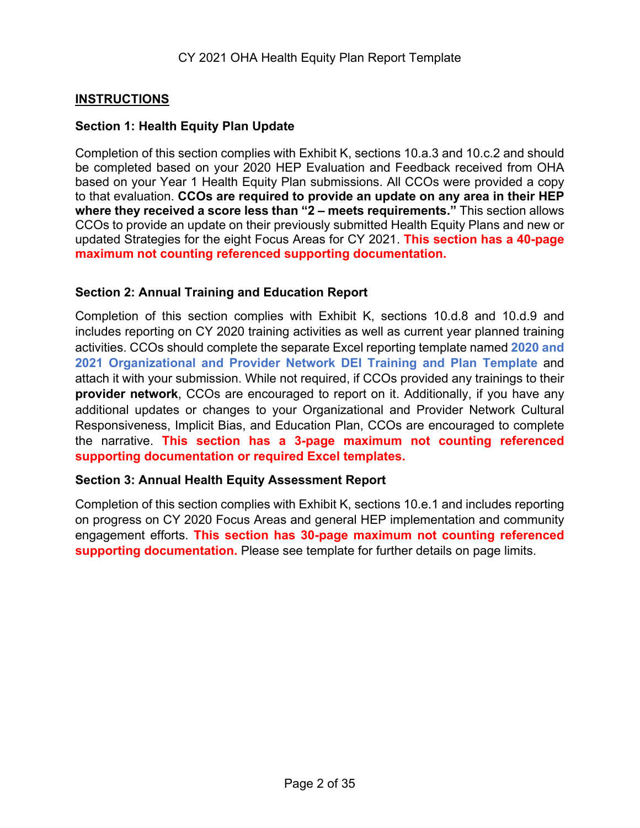### **INSTRUCTIONS**

#### **Section 1: Health Equity Plan Update**

Completion of this section complies with Exhibit K, sections 10.a.3 and 10.c.2 and should be completed based on your 2020 HEP Evaluation and Feedback received from OHA based on your Year 1 Health Equity Plan submissions. All CCOs were provided a copy to that evaluation. **CCOs are required to provide an update on any area in their HEP where they received a score less than "2 – meets requirements."** This section allows CCOs to provide an update on their previously submitted Health Equity Plans and new or updated Strategies for the eight Focus Areas for CY 2021. **This section has a 40-page maximum not counting referenced supporting documentation.**

#### **Section 2: Annual Training and Education Report**

Completion of this section complies with Exhibit K, sections 10.d.8 and 10.d.9 and includes reporting on CY 2020 training activities as well as current year planned training activities. CCOs should complete the separate Excel reporting template named **2020 and 2021 Organizational and Provider Network DEI Training and Plan Template** and attach it with your submission. While not required, if CCOs provided any trainings to their **provider network**, CCOs are encouraged to report on it. Additionally, if you have any additional updates or changes to your Organizational and Provider Network Cultural Responsiveness, Implicit Bias, and Education Plan, CCOs are encouraged to complete the narrative. **This section has a 3-page maximum not counting referenced supporting documentation or required Excel templates.**

#### **Section 3: Annual Health Equity Assessment Report**

Completion of this section complies with Exhibit K, sections 10.e.1 and includes reporting on progress on CY 2020 Focus Areas and general HEP implementation and community engagement efforts. **This section has 30-page maximum not counting referenced supporting documentation.** Please see template for further details on page limits.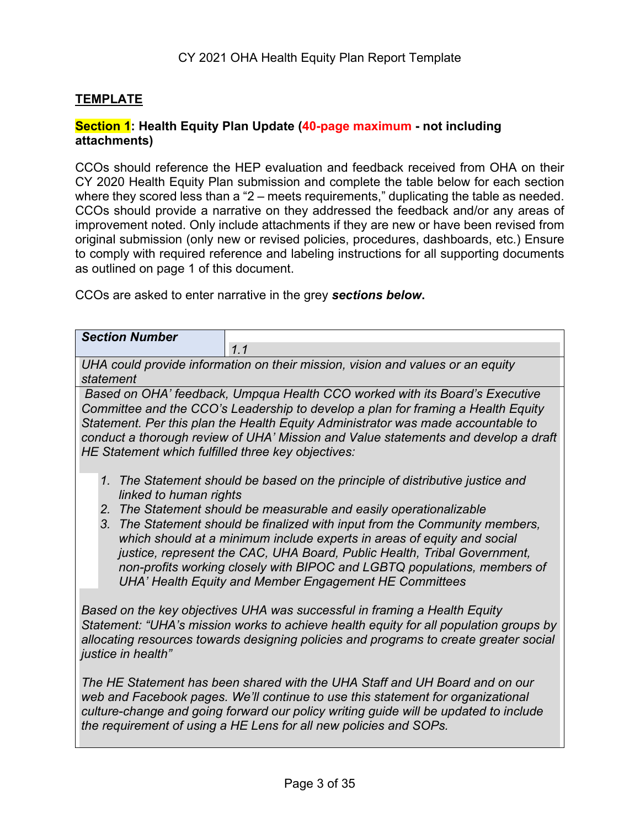#### **TEMPLATE**

#### **Section 1: Health Equity Plan Update (40-page maximum - not including attachments)**

CCOs should reference the HEP evaluation and feedback received from OHA on their CY 2020 Health Equity Plan submission and complete the table below for each section where they scored less than a "2 – meets requirements," duplicating the table as needed. CCOs should provide a narrative on they addressed the feedback and/or any areas of improvement noted. Only include attachments if they are new or have been revised from original submission (only new or revised policies, procedures, dashboards, etc.) Ensure to comply with required reference and labeling instructions for all supporting documents as outlined on page 1 of this document.

CCOs are asked to enter narrative in the grey *sections below***.**

| <b>Section Number</b>                                                                                                                                                                                                                                                                                                                                                                           |                                                                                                                                                                                                                                                                                                                                                                                                                                                                                                                                        |  |
|-------------------------------------------------------------------------------------------------------------------------------------------------------------------------------------------------------------------------------------------------------------------------------------------------------------------------------------------------------------------------------------------------|----------------------------------------------------------------------------------------------------------------------------------------------------------------------------------------------------------------------------------------------------------------------------------------------------------------------------------------------------------------------------------------------------------------------------------------------------------------------------------------------------------------------------------------|--|
|                                                                                                                                                                                                                                                                                                                                                                                                 | 1.1                                                                                                                                                                                                                                                                                                                                                                                                                                                                                                                                    |  |
| statement                                                                                                                                                                                                                                                                                                                                                                                       | UHA could provide information on their mission, vision and values or an equity                                                                                                                                                                                                                                                                                                                                                                                                                                                         |  |
| Based on OHA' feedback, Umpqua Health CCO worked with its Board's Executive<br>Committee and the CCO's Leadership to develop a plan for framing a Health Equity<br>Statement. Per this plan the Health Equity Administrator was made accountable to<br>conduct a thorough review of UHA' Mission and Value statements and develop a draft<br>HE Statement which fulfilled three key objectives: |                                                                                                                                                                                                                                                                                                                                                                                                                                                                                                                                        |  |
| linked to human rights                                                                                                                                                                                                                                                                                                                                                                          | 1. The Statement should be based on the principle of distributive justice and<br>2. The Statement should be measurable and easily operationalizable<br>3. The Statement should be finalized with input from the Community members,<br>which should at a minimum include experts in areas of equity and social<br>justice, represent the CAC, UHA Board, Public Health, Tribal Government,<br>non-profits working closely with BIPOC and LGBTQ populations, members of<br><b>UHA' Health Equity and Member Engagement HE Committees</b> |  |
| justice in health"                                                                                                                                                                                                                                                                                                                                                                              | Based on the key objectives UHA was successful in framing a Health Equity<br>Statement: "UHA's mission works to achieve health equity for all population groups by<br>allocating resources towards designing policies and programs to create greater social                                                                                                                                                                                                                                                                            |  |
|                                                                                                                                                                                                                                                                                                                                                                                                 | The HE Statement has been shared with the UHA Staff and UH Board and on our<br>web and Facebook pages. We'll continue to use this statement for organizational<br>culture-change and going forward our policy writing guide will be updated to include<br>the requirement of using a HE Lens for all new policies and SOPs.                                                                                                                                                                                                            |  |
|                                                                                                                                                                                                                                                                                                                                                                                                 |                                                                                                                                                                                                                                                                                                                                                                                                                                                                                                                                        |  |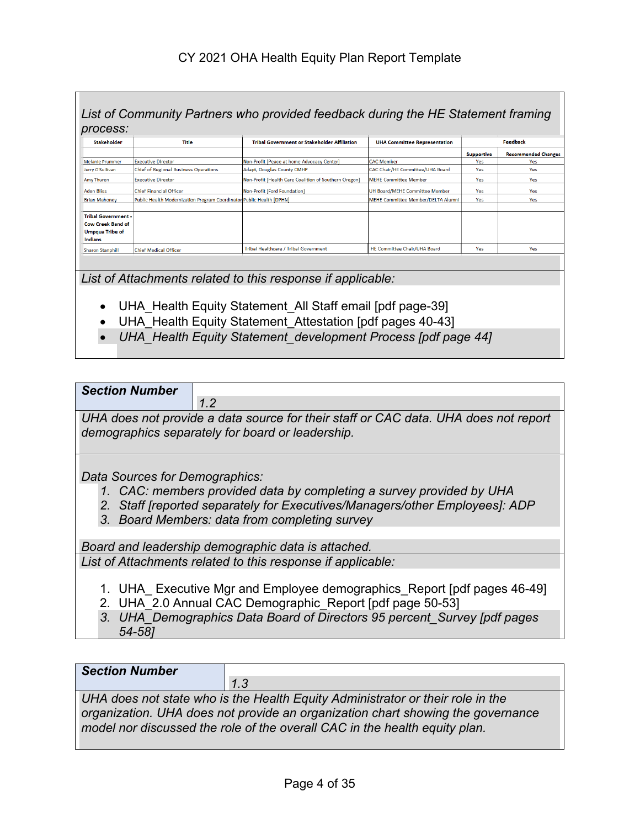|                                                                                                    |                                                                      | List of Community Partners who provided feedback during the HE Statement framing |                                           |                   |                            |
|----------------------------------------------------------------------------------------------------|----------------------------------------------------------------------|----------------------------------------------------------------------------------|-------------------------------------------|-------------------|----------------------------|
| process:<br><b>Stakeholder</b>                                                                     | Title                                                                | <b>Tribal Government or Stakeholder Affiliation</b>                              | <b>UHA Committee Representation</b>       |                   | <b>Feedback</b>            |
|                                                                                                    |                                                                      |                                                                                  |                                           | <b>Supportive</b> | <b>Recommended Changes</b> |
| <b>Melanie Prummer</b>                                                                             | <b>Executive Director</b>                                            | Non-Profit [Peace at home Advocacy Center]                                       | <b>CAC Member</b>                         | Yes.              | Yes.                       |
| Jerry O'Sullivan                                                                                   | <b>Chief of Regional Business Operations</b>                         | Adapt, Douglas County CMHP                                                       | <b>CAC Chair/HE Committee/UHA Board</b>   | Yes               | Yes                        |
| <b>Amy Thuren</b>                                                                                  | <b>Executive Director</b>                                            | Non-Profit [Health Care Coalition of Southern Oregon]                            | <b>MEHE Committee Member</b>              | <b>Yes</b>        | Yes                        |
| <b>Aden Bliss</b>                                                                                  | <b>Chief Financial Officer</b>                                       | Non-Profit [Ford Foundation]                                                     | <b>UH Board/MEHE Committee Member</b>     | Yes               | Yes                        |
| <b>Brian Mahonev</b>                                                                               | Public Health Modernization Program Coordinator Public Health [DPHN] |                                                                                  | <b>MEHE Committee Member/DELTA Alumni</b> | Yes               | Yes                        |
| <b>Tribal Government -</b><br><b>Cow Creek Band of</b><br><b>Umpaua Tribe of</b><br><b>Indians</b> |                                                                      |                                                                                  |                                           |                   |                            |
| <b>Sharon Stanphill</b>                                                                            | Chief Medical Officer                                                | <b>Tribal Healthcare / Tribal Government</b>                                     | <b>HE Committee Chair/UHA Board</b>       | Yes               | Yes                        |

*List of Attachments related to this response if applicable:*

- UHA Health Equity Statement All Staff email [pdf page-39]
- UHA\_Health Equity Statement\_Attestation [pdf pages 40-43]
- *UHA\_Health Equity Statement\_development Process [pdf page 44]*

| <b>Section Number</b> |                                                                                                          |
|-----------------------|----------------------------------------------------------------------------------------------------------|
|                       |                                                                                                          |
|                       | $IH\Delta$ does not provide a data source for their staff or $C\Delta C$ data $IH\Delta$ does not report |

*UHA does not provide a data source for their staff or CAC data. UHA does not report demographics separately for board or leadership.*

*Data Sources for Demographics:*

- *1. CAC: members provided data by completing a survey provided by UHA*
- *2. Staff [reported separately for Executives/Managers/other Employees]: ADP*
- *3. Board Members: data from completing survey*

*Board and leadership demographic data is attached.* 

*List of Attachments related to this response if applicable:*

- 1. UHA Executive Mgr and Employee demographics Report [pdf pages 46-49]
- 2. UHA\_2.0 Annual CAC Demographic\_Report [pdf page 50-53]
- *3. UHA\_Demographics Data Board of Directors 95 percent\_Survey [pdf pages 54-58]*

*Section Number*

*1.3*

*UHA does not state who is the Health Equity Administrator or their role in the organization. UHA does not provide an organization chart showing the governance model nor discussed the role of the overall CAC in the health equity plan.*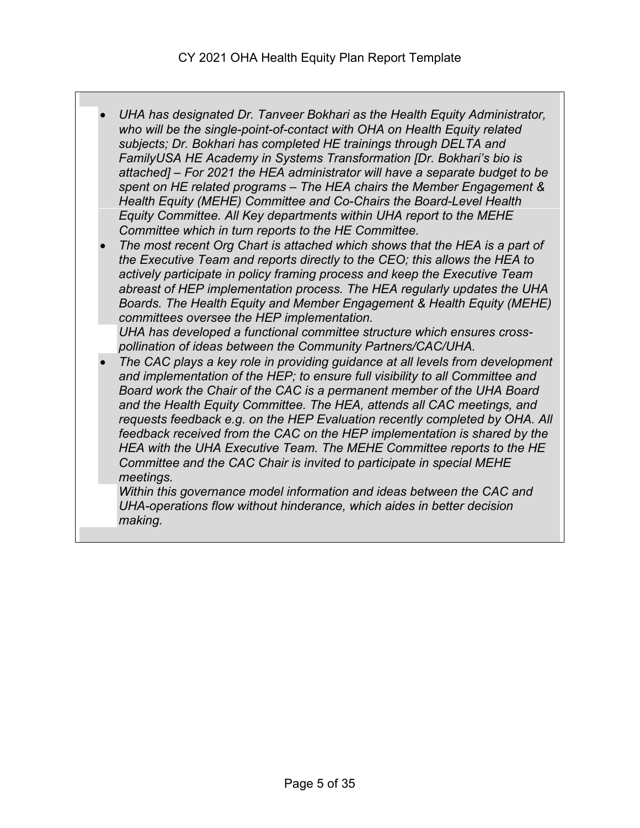- *UHA has designated Dr. Tanveer Bokhari as the Health Equity Administrator, who will be the single-point-of-contact with OHA on Health Equity related subjects; Dr. Bokhari has completed HE trainings through DELTA and FamilyUSA HE Academy in Systems Transformation [Dr. Bokhari's bio is attached] – For 2021 the HEA administrator will have a separate budget to be spent on HE related programs – The HEA chairs the Member Engagement & Health Equity (MEHE) Committee and Co-Chairs the Board-Level Health Equity Committee. All Key departments within UHA report to the MEHE Committee which in turn reports to the HE Committee.*
- *The most recent Org Chart is attached which shows that the HEA is a part of the Executive Team and reports directly to the CEO; this allows the HEA to actively participate in policy framing process and keep the Executive Team abreast of HEP implementation process. The HEA regularly updates the UHA Boards. The Health Equity and Member Engagement & Health Equity (MEHE) committees oversee the HEP implementation.*

*UHA has developed a functional committee structure which ensures crosspollination of ideas between the Community Partners/CAC/UHA.* 

• *The CAC plays a key role in providing guidance at all levels from development and implementation of the HEP; to ensure full visibility to all Committee and Board work the Chair of the CAC is a permanent member of the UHA Board and the Health Equity Committee. The HEA, attends all CAC meetings, and requests feedback e.g. on the HEP Evaluation recently completed by OHA. All feedback received from the CAC on the HEP implementation is shared by the HEA with the UHA Executive Team. The MEHE Committee reports to the HE Committee and the CAC Chair is invited to participate in special MEHE meetings.* 

*Within this governance model information and ideas between the CAC and UHA-operations flow without hinderance, which aides in better decision making.*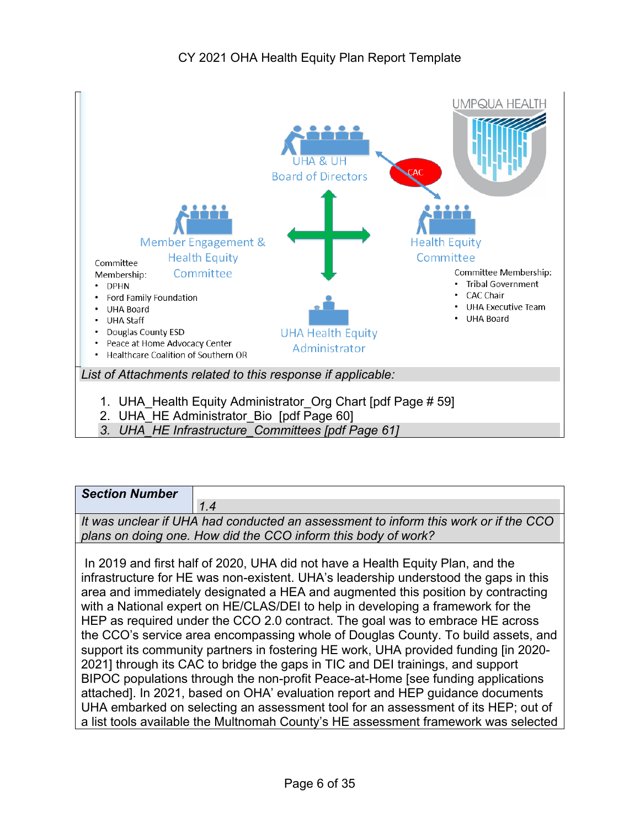

*3. UHA\_HE Infrastructure\_Committees [pdf Page 61]*

| <b>Section Number</b> |                                                                                                                                                      |
|-----------------------|------------------------------------------------------------------------------------------------------------------------------------------------------|
|                       | 1.4                                                                                                                                                  |
|                       | It was unclear if UHA had conducted an assessment to inform this work or if the CCO<br>plans on doing one. How did the CCO inform this body of work? |
|                       | $\blacksquare$                                                                                                                                       |

In 2019 and first half of 2020, UHA did not have a Health Equity Plan, and the infrastructure for HE was non-existent. UHA's leadership understood the gaps in this area and immediately designated a HEA and augmented this position by contracting with a National expert on HE/CLAS/DEI to help in developing a framework for the HEP as required under the CCO 2.0 contract. The goal was to embrace HE across the CCO's service area encompassing whole of Douglas County. To build assets, and support its community partners in fostering HE work, UHA provided funding [in 2020- 2021] through its CAC to bridge the gaps in TIC and DEI trainings, and support BIPOC populations through the non-profit Peace-at-Home [see funding applications attached]. In 2021, based on OHA' evaluation report and HEP guidance documents UHA embarked on selecting an assessment tool for an assessment of its HEP; out of a list tools available the Multnomah County's HE assessment framework was selected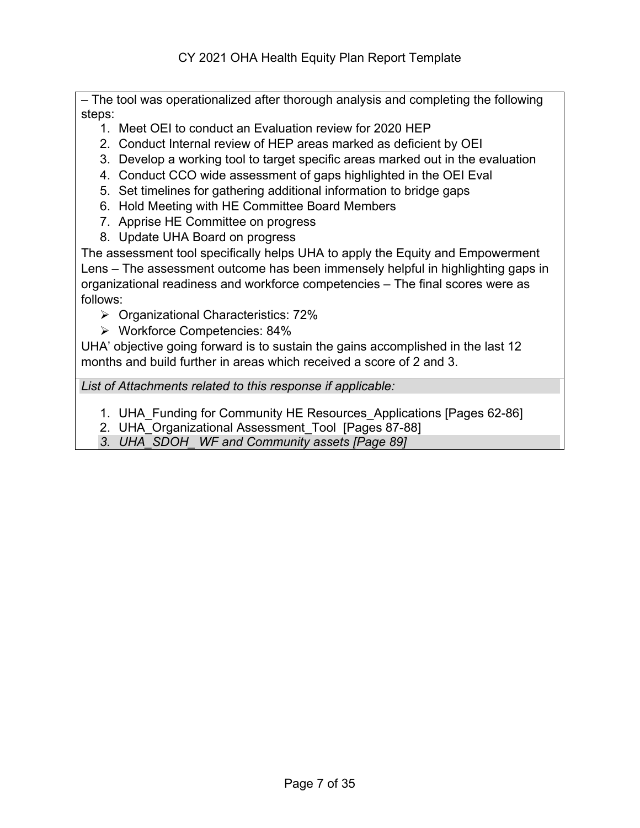– The tool was operationalized after thorough analysis and completing the following steps:

- 1. Meet OEI to conduct an Evaluation review for 2020 HEP
- 2. Conduct Internal review of HEP areas marked as deficient by OEI
- 3. Develop a working tool to target specific areas marked out in the evaluation
- 4. Conduct CCO wide assessment of gaps highlighted in the OEI Eval
- 5. Set timelines for gathering additional information to bridge gaps
- 6. Hold Meeting with HE Committee Board Members
- 7. Apprise HE Committee on progress
- 8. Update UHA Board on progress

The assessment tool specifically helps UHA to apply the Equity and Empowerment Lens – The assessment outcome has been immensely helpful in highlighting gaps in organizational readiness and workforce competencies – The final scores were as follows:

- $\triangleright$  Organizational Characteristics: 72%
- Workforce Competencies: 84%

UHA' objective going forward is to sustain the gains accomplished in the last 12 months and build further in areas which received a score of 2 and 3.

*List of Attachments related to this response if applicable:*

- 1. UHA\_Funding for Community HE Resources\_Applications [Pages 62-86]
- 2. UHA Organizational Assessment Tool [Pages 87-88]
- *3. UHA\_SDOH\_ WF and Community assets [Page 89]*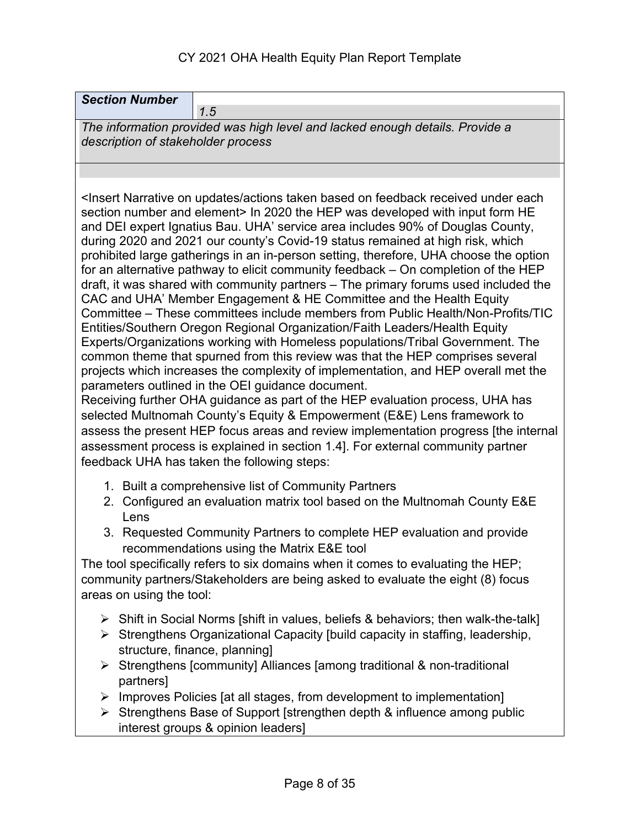## CY 2021 OHA Health Equity Plan Report Template

| <b>Section Number</b><br>1.5                                                                                                                                                                                                                                                                                                                                                                                                                                                                                                                                                                                                                                                                                                                                                                                                                                                                                                                                                                                                                                                                                                                                                                                                                                                                                                                                                                                                                                                                                                                                                                                               |  |  |
|----------------------------------------------------------------------------------------------------------------------------------------------------------------------------------------------------------------------------------------------------------------------------------------------------------------------------------------------------------------------------------------------------------------------------------------------------------------------------------------------------------------------------------------------------------------------------------------------------------------------------------------------------------------------------------------------------------------------------------------------------------------------------------------------------------------------------------------------------------------------------------------------------------------------------------------------------------------------------------------------------------------------------------------------------------------------------------------------------------------------------------------------------------------------------------------------------------------------------------------------------------------------------------------------------------------------------------------------------------------------------------------------------------------------------------------------------------------------------------------------------------------------------------------------------------------------------------------------------------------------------|--|--|
| The information provided was high level and lacked enough details. Provide a<br>description of stakeholder process                                                                                                                                                                                                                                                                                                                                                                                                                                                                                                                                                                                                                                                                                                                                                                                                                                                                                                                                                                                                                                                                                                                                                                                                                                                                                                                                                                                                                                                                                                         |  |  |
|                                                                                                                                                                                                                                                                                                                                                                                                                                                                                                                                                                                                                                                                                                                                                                                                                                                                                                                                                                                                                                                                                                                                                                                                                                                                                                                                                                                                                                                                                                                                                                                                                            |  |  |
| <insert actions="" based="" each<br="" feedback="" narrative="" on="" received="" taken="" under="" updates="">section number and element&gt; In 2020 the HEP was developed with input form HE<br/>and DEI expert Ignatius Bau. UHA' service area includes 90% of Douglas County,<br/>during 2020 and 2021 our county's Covid-19 status remained at high risk, which<br/>prohibited large gatherings in an in-person setting, therefore, UHA choose the option<br/>for an alternative pathway to elicit community feedback - On completion of the HEP<br/>draft, it was shared with community partners - The primary forums used included the<br/>CAC and UHA' Member Engagement &amp; HE Committee and the Health Equity<br/>Committee – These committees include members from Public Health/Non-Profits/TIC<br/>Entities/Southern Oregon Regional Organization/Faith Leaders/Health Equity<br/>Experts/Organizations working with Homeless populations/Tribal Government. The<br/>common theme that spurned from this review was that the HEP comprises several<br/>projects which increases the complexity of implementation, and HEP overall met the<br/>parameters outlined in the OEI guidance document.<br/>Receiving further OHA guidance as part of the HEP evaluation process, UHA has<br/>selected Multnomah County's Equity &amp; Empowerment (E&amp;E) Lens framework to<br/>assess the present HEP focus areas and review implementation progress [the internal<br/>assessment process is explained in section 1.4]. For external community partner<br/>feedback UHA has taken the following steps:</insert> |  |  |
| 1. Built a comprehensive list of Community Partners<br>2. Configured an evaluation matrix tool based on the Multnomah County E&E<br>Lens                                                                                                                                                                                                                                                                                                                                                                                                                                                                                                                                                                                                                                                                                                                                                                                                                                                                                                                                                                                                                                                                                                                                                                                                                                                                                                                                                                                                                                                                                   |  |  |
| 3. Requested Community Partners to complete HEP evaluation and provide<br>recommendations using the Matrix E&E tool                                                                                                                                                                                                                                                                                                                                                                                                                                                                                                                                                                                                                                                                                                                                                                                                                                                                                                                                                                                                                                                                                                                                                                                                                                                                                                                                                                                                                                                                                                        |  |  |
| The tool specifically refers to six domains when it comes to evaluating the HEP;<br>community partners/Stakeholders are being asked to evaluate the eight (8) focus<br>areas on using the tool:                                                                                                                                                                                                                                                                                                                                                                                                                                                                                                                                                                                                                                                                                                                                                                                                                                                                                                                                                                                                                                                                                                                                                                                                                                                                                                                                                                                                                            |  |  |
| $\triangleright$ Shift in Social Norms [shift in values, beliefs & behaviors; then walk-the-talk]<br>Strengthens Organizational Capacity [build capacity in staffing, leadership,<br>➤<br>structure, finance, planning]                                                                                                                                                                                                                                                                                                                                                                                                                                                                                                                                                                                                                                                                                                                                                                                                                                                                                                                                                                                                                                                                                                                                                                                                                                                                                                                                                                                                    |  |  |
| Strengthens [community] Alliances [among traditional & non-traditional<br>➤<br>partners]                                                                                                                                                                                                                                                                                                                                                                                                                                                                                                                                                                                                                                                                                                                                                                                                                                                                                                                                                                                                                                                                                                                                                                                                                                                                                                                                                                                                                                                                                                                                   |  |  |
| $\triangleright$ Improves Policies [at all stages, from development to implementation]<br>Strengthens Base of Support [strengthen depth & influence among public<br>$\blacktriangleright$                                                                                                                                                                                                                                                                                                                                                                                                                                                                                                                                                                                                                                                                                                                                                                                                                                                                                                                                                                                                                                                                                                                                                                                                                                                                                                                                                                                                                                  |  |  |

interest groups & opinion leaders]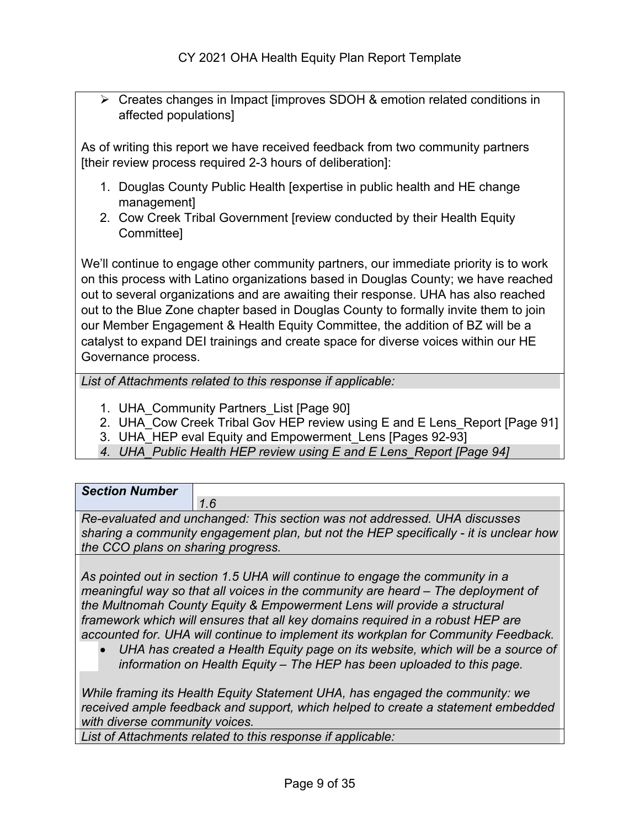Creates changes in Impact [improves SDOH & emotion related conditions in affected populations]

As of writing this report we have received feedback from two community partners [their review process required 2-3 hours of deliberation]:

- 1. Douglas County Public Health [expertise in public health and HE change management]
- 2. Cow Creek Tribal Government [review conducted by their Health Equity Committee]

We'll continue to engage other community partners, our immediate priority is to work on this process with Latino organizations based in Douglas County; we have reached out to several organizations and are awaiting their response. UHA has also reached out to the Blue Zone chapter based in Douglas County to formally invite them to join our Member Engagement & Health Equity Committee, the addition of BZ will be a catalyst to expand DEI trainings and create space for diverse voices within our HE Governance process.

*List of Attachments related to this response if applicable:*

- 1. UHA Community Partners List [Page 90]
- 2. UHA\_Cow Creek Tribal Gov HEP review using E and E Lens\_Report [Page 91]
- 3. UHA HEP eval Equity and Empowerment Lens [Pages 92-93]
- *4. UHA\_Public Health HEP review using E and E Lens\_Report [Page 94]*

| <b>Section Number</b>              |                                                                                                                                                                    |
|------------------------------------|--------------------------------------------------------------------------------------------------------------------------------------------------------------------|
|                                    | 1.6                                                                                                                                                                |
|                                    | Re-evaluated and unchanged: This section was not addressed. UHA discusses<br>sharing a community engagement plan, but not the HEP specifically - it is unclear how |
| the CCO plans on sharing progress. |                                                                                                                                                                    |
|                                    |                                                                                                                                                                    |

*As pointed out in section 1.5 UHA will continue to engage the community in a meaningful way so that all voices in the community are heard – The deployment of the Multnomah County Equity & Empowerment Lens will provide a structural framework which will ensures that all key domains required in a robust HEP are accounted for. UHA will continue to implement its workplan for Community Feedback.* 

• *UHA has created a Health Equity page on its website, which will be a source of information on Health Equity – The HEP has been uploaded to this page.* 

*While framing its Health Equity Statement UHA, has engaged the community: we received ample feedback and support, which helped to create a statement embedded with diverse community voices.* 

*List of Attachments related to this response if applicable:*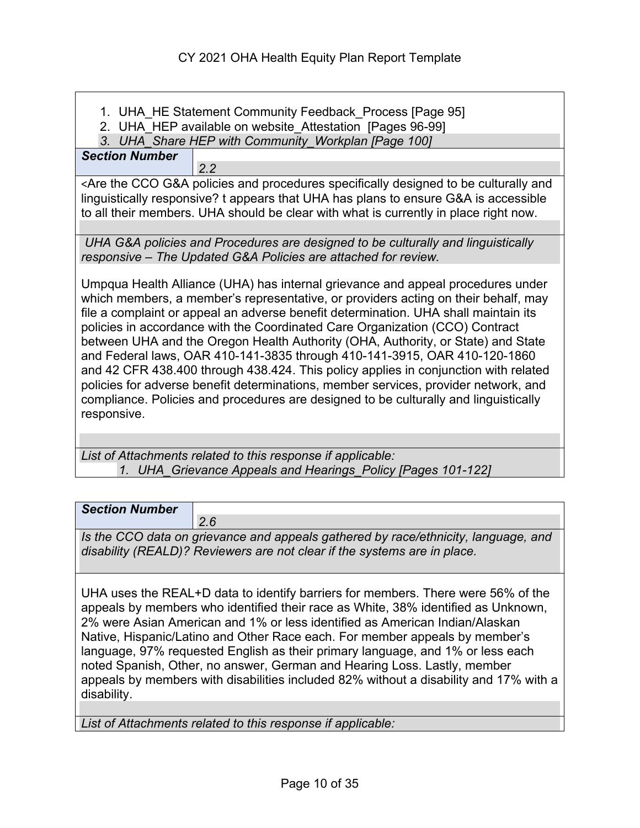- 1. UHA HE Statement Community Feedback Process [Page 95]
- 2. UHA HEP available on website Attestation [Pages 96-99]

*3. UHA\_Share HEP with Community\_Workplan [Page 100]*

*2.2*

*Section Number*

<Are the CCO G&A policies and procedures specifically designed to be culturally and linguistically responsive? t appears that UHA has plans to ensure G&A is accessible to all their members. UHA should be clear with what is currently in place right now.

*UHA G&A policies and Procedures are designed to be culturally and linguistically responsive – The Updated G&A Policies are attached for review.* 

Umpqua Health Alliance (UHA) has internal grievance and appeal procedures under which members, a member's representative, or providers acting on their behalf, may file a complaint or appeal an adverse benefit determination. UHA shall maintain its policies in accordance with the Coordinated Care Organization (CCO) Contract between UHA and the Oregon Health Authority (OHA, Authority, or State) and State and Federal laws, OAR 410-141-3835 through 410-141-3915, OAR 410-120-1860 and 42 CFR 438.400 through 438.424. This policy applies in conjunction with related policies for adverse benefit determinations, member services, provider network, and compliance. Policies and procedures are designed to be culturally and linguistically responsive.

*List of Attachments related to this response if applicable: 1. UHA\_Grievance Appeals and Hearings\_Policy [Pages 101-122]*

| <b>Section Number</b> |                                                                                    |
|-----------------------|------------------------------------------------------------------------------------|
|                       | 2.6                                                                                |
|                       | Is the CCO data on grievance and appeals gathered by race/ethnicity, language, and |
|                       | disability (REALD)? Reviewers are not clear if the systems are in place.           |

UHA uses the REAL+D data to identify barriers for members. There were 56% of the appeals by members who identified their race as White, 38% identified as Unknown, 2% were Asian American and 1% or less identified as American Indian/Alaskan Native, Hispanic/Latino and Other Race each. For member appeals by member's language, 97% requested English as their primary language, and 1% or less each noted Spanish, Other, no answer, German and Hearing Loss. Lastly, member appeals by members with disabilities included 82% without a disability and 17% with a disability.

*List of Attachments related to this response if applicable:*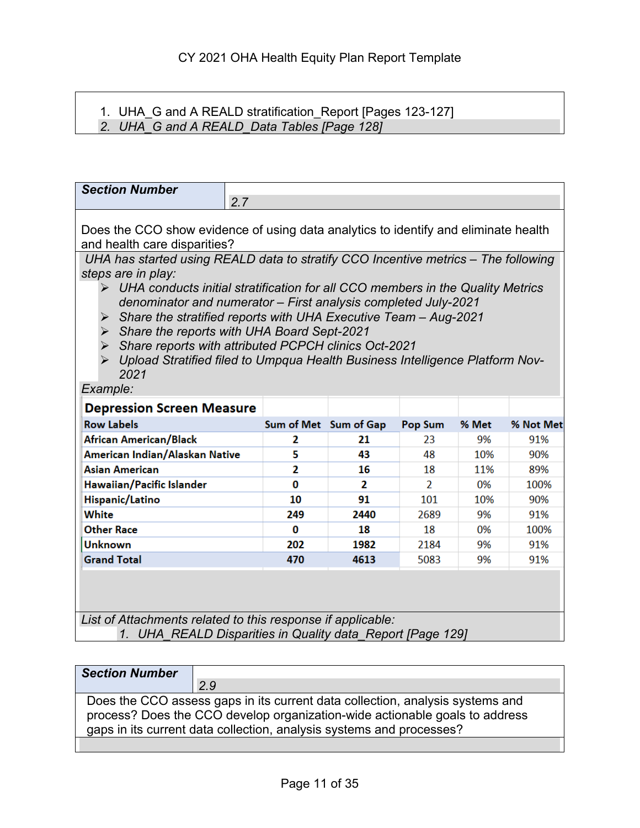#### 1. UHA\_G and A REALD stratification\_Report [Pages 123-127] *2. UHA\_G and A REALD\_Data Tables [Page 128]*

| <b>Section Number</b><br>2.7                                                                                                                                                                                                                                                                                                                                                                                                                                                                                                                                                                                                                                                      |                       |      |                |       |           |
|-----------------------------------------------------------------------------------------------------------------------------------------------------------------------------------------------------------------------------------------------------------------------------------------------------------------------------------------------------------------------------------------------------------------------------------------------------------------------------------------------------------------------------------------------------------------------------------------------------------------------------------------------------------------------------------|-----------------------|------|----------------|-------|-----------|
| Does the CCO show evidence of using data analytics to identify and eliminate health<br>and health care disparities?<br>UHA has started using REALD data to stratify CCO Incentive metrics - The following<br>steps are in play:<br>$\triangleright$ UHA conducts initial stratification for all CCO members in the Quality Metrics<br>denominator and numerator - First analysis completed July-2021<br>Share the stratified reports with UHA Executive Team - Aug-2021<br>➤<br>Share the reports with UHA Board Sept-2021<br>Share reports with attributed PCPCH clinics Oct-2021<br>➤<br>> Upload Stratified filed to Umpqua Health Business Intelligence Platform Nov-<br>2021 |                       |      |                |       |           |
|                                                                                                                                                                                                                                                                                                                                                                                                                                                                                                                                                                                                                                                                                   | Example:              |      |                |       |           |
| <b>Depression Screen Measure</b>                                                                                                                                                                                                                                                                                                                                                                                                                                                                                                                                                                                                                                                  |                       |      |                |       |           |
| <b>Row Labels</b>                                                                                                                                                                                                                                                                                                                                                                                                                                                                                                                                                                                                                                                                 | Sum of Met Sum of Gap |      | <b>Pop Sum</b> | % Met | % Not Met |
| African American/Black                                                                                                                                                                                                                                                                                                                                                                                                                                                                                                                                                                                                                                                            | 2                     | 21   | 23             | 9%    | 91%       |
| American Indian/Alaskan Native                                                                                                                                                                                                                                                                                                                                                                                                                                                                                                                                                                                                                                                    | 5                     | 43   | 48             | 10%   | 90%       |
| <b>Asian American</b>                                                                                                                                                                                                                                                                                                                                                                                                                                                                                                                                                                                                                                                             | 2                     | 16   | 18             | 11%   | 89%       |
| Hawaiian/Pacific Islander                                                                                                                                                                                                                                                                                                                                                                                                                                                                                                                                                                                                                                                         | 0                     | 2    | $\overline{2}$ | 0%    | 100%      |
| Hispanic/Latino                                                                                                                                                                                                                                                                                                                                                                                                                                                                                                                                                                                                                                                                   | 10                    | 91   | 101            | 10%   | 90%       |
| White                                                                                                                                                                                                                                                                                                                                                                                                                                                                                                                                                                                                                                                                             | 249                   | 2440 | 2689           | 9%    | 91%       |
| <b>Other Race</b>                                                                                                                                                                                                                                                                                                                                                                                                                                                                                                                                                                                                                                                                 | 0                     | 18   | 18             | 0%    | 100%      |
| <b>Unknown</b>                                                                                                                                                                                                                                                                                                                                                                                                                                                                                                                                                                                                                                                                    | 202                   | 1982 | 2184           | 9%    | 91%       |
| <b>Grand Total</b>                                                                                                                                                                                                                                                                                                                                                                                                                                                                                                                                                                                                                                                                | 470                   | 4613 | 5083           | 9%    | 91%       |
| List of Attachments related to this response if applicable:<br>1. UHA_REALD Disparities in Quality data_Report [Page 129]                                                                                                                                                                                                                                                                                                                                                                                                                                                                                                                                                         |                       |      |                |       |           |
|                                                                                                                                                                                                                                                                                                                                                                                                                                                                                                                                                                                                                                                                                   |                       |      |                |       |           |

| <b>Section Number</b> |                                                                               |
|-----------------------|-------------------------------------------------------------------------------|
|                       | 2.9                                                                           |
|                       | Does the CCO assess gaps in its current data collection, analysis systems and |
|                       | process? Does the CCO develop organization-wide actionable goals to address   |
|                       | gaps in its current data collection, analysis systems and processes?          |
|                       |                                                                               |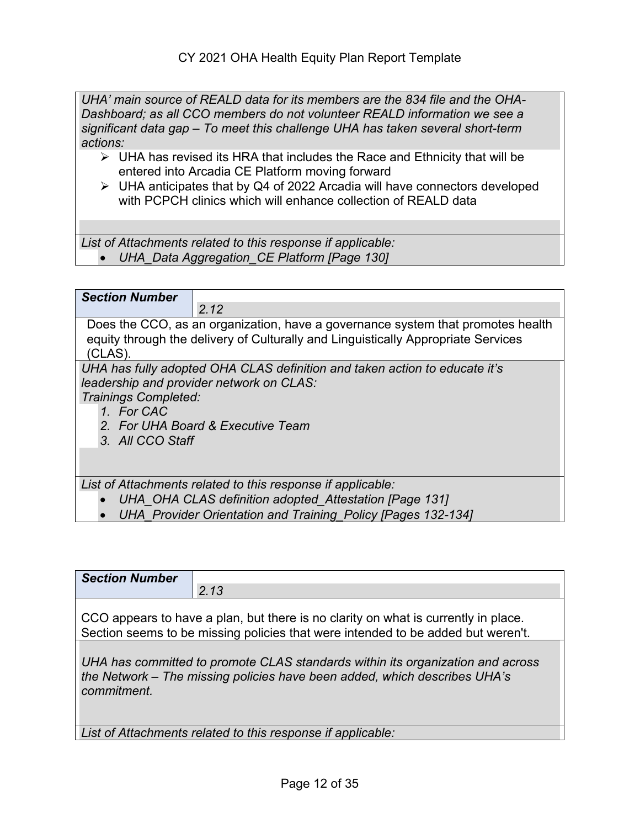*UHA' main source of REALD data for its members are the 834 file and the OHA-Dashboard; as all CCO members do not volunteer REALD information we see a significant data gap – To meet this challenge UHA has taken several short-term actions:*

- $\triangleright$  UHA has revised its HRA that includes the Race and Ethnicity that will be entered into Arcadia CE Platform moving forward
- UHA anticipates that by Q4 of 2022 Arcadia will have connectors developed with PCPCH clinics which will enhance collection of REALD data

*List of Attachments related to this response if applicable:* • *UHA\_Data Aggregation\_CE Platform [Page 130]*

| <b>Section Number</b>                                  |                                                                                                                                                                                       |
|--------------------------------------------------------|---------------------------------------------------------------------------------------------------------------------------------------------------------------------------------------|
|                                                        | 2.12                                                                                                                                                                                  |
| (CLAS).                                                | Does the CCO, as an organization, have a governance system that promotes health<br>equity through the delivery of Culturally and Linguistically Appropriate Services                  |
| Trainings Completed:<br>1. For CAC<br>3. All CCO Staff | UHA has fully adopted OHA CLAS definition and taken action to educate it's<br>leadership and provider network on CLAS:<br>2. For UHA Board & Executive Team                           |
| $\bullet$                                              | List of Attachments related to this response if applicable:<br>UHA OHA CLAS definition adopted Attestation [Page 131]<br>UHA Provider Orientation and Training Policy [Pages 132-134] |

| <b>Section Number</b>                                                                                                                                                      |                                                                                                                                                                        |
|----------------------------------------------------------------------------------------------------------------------------------------------------------------------------|------------------------------------------------------------------------------------------------------------------------------------------------------------------------|
|                                                                                                                                                                            | 2.13                                                                                                                                                                   |
|                                                                                                                                                                            | CCO appears to have a plan, but there is no clarity on what is currently in place.<br>Section seems to be missing policies that were intended to be added but weren't. |
| UHA has committed to promote CLAS standards within its organization and across<br>the Network – The missing policies have been added, which describes UHA's<br>commitment. |                                                                                                                                                                        |
|                                                                                                                                                                            | List of Attachments related to this response if applicable:                                                                                                            |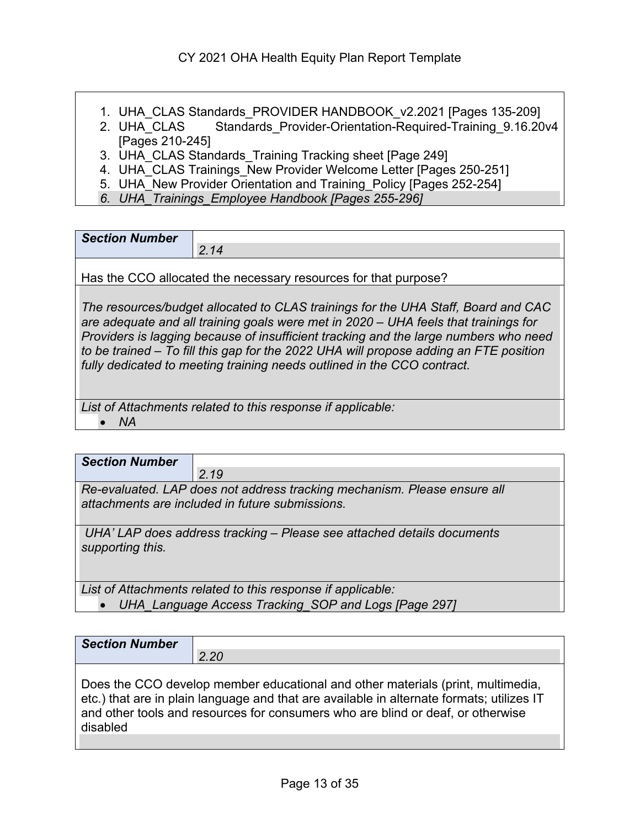- 
- 1. UHA\_CLAS Standards\_PROVIDER HANDBOOK\_v2.2021 [Pages 135-209] Standards Provider-Orientation-Required-Training 9.16.20v4 [Pages 210-245]

3. UHA\_CLAS Standards\_Training Tracking sheet [Page 249]

4. UHA CLAS Trainings New Provider Welcome Letter [Pages 250-251]

5. UHA New Provider Orientation and Training Policy [Pages 252-254]

*6. UHA\_Trainings\_Employee Handbook [Pages 255-296]*

| <b>Section Number</b> |  |
|-----------------------|--|
|                       |  |
|                       |  |

Has the CCO allocated the necessary resources for that purpose?

*The resources/budget allocated to CLAS trainings for the UHA Staff, Board and CAC are adequate and all training goals were met in 2020 – UHA feels that trainings for Providers is lagging because of insufficient tracking and the large numbers who need to be trained – To fill this gap for the 2022 UHA will propose adding an FTE position fully dedicated to meeting training needs outlined in the CCO contract.* 

*List of Attachments related to this response if applicable:*

• *NA* 

| <b>Section Number</b>                                                                                                       |                                                                        |
|-----------------------------------------------------------------------------------------------------------------------------|------------------------------------------------------------------------|
|                                                                                                                             | 2.19                                                                   |
| Re-evaluated. LAP does not address tracking mechanism. Please ensure all<br>attachments are included in future submissions. |                                                                        |
| supporting this.                                                                                                            | UHA' LAP does address tracking – Please see attached details documents |
|                                                                                                                             | List of Attachments related to this response if applicable:            |
|                                                                                                                             | UHA Language Access Tracking SOP and Logs [Page 297]                   |

| <b>Section Number</b> |               |
|-----------------------|---------------|
|                       | $\sim$<br>2.Z |
|                       |               |

Does the CCO develop member educational and other materials (print, multimedia, etc.) that are in plain language and that are available in alternate formats; utilizes IT and other tools and resources for consumers who are blind or deaf, or otherwise disabled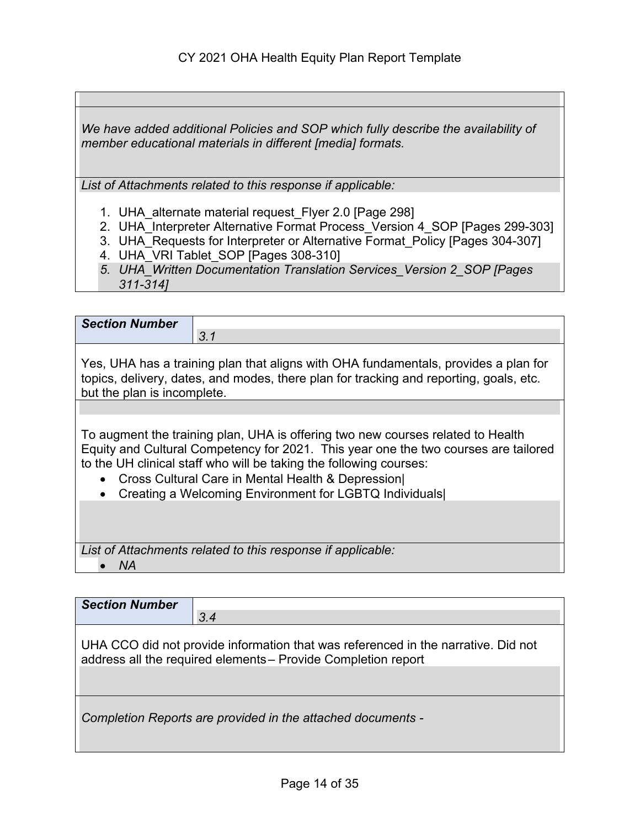*We have added additional Policies and SOP which fully describe the availability of member educational materials in different [media] formats.* 

*List of Attachments related to this response if applicable:*

- 1. UHA alternate material request Flyer 2.0 [Page 298]
- 2. UHA\_Interpreter Alternative Format Process\_Version 4\_SOP [Pages 299-303]
- 3. UHA\_Requests for Interpreter or Alternative Format Policy [Pages 304-307]
- 4. UHA\_VRI Tablet SOP [Pages 308-310]
- *5. UHA\_Written Documentation Translation Services\_Version 2\_SOP [Pages 311-314]*

| <b>Section Number</b>       |                                                                                                                                                                                                                                                                                                                                                             |
|-----------------------------|-------------------------------------------------------------------------------------------------------------------------------------------------------------------------------------------------------------------------------------------------------------------------------------------------------------------------------------------------------------|
|                             | 3.1                                                                                                                                                                                                                                                                                                                                                         |
| but the plan is incomplete. | Yes, UHA has a training plan that aligns with OHA fundamentals, provides a plan for<br>topics, delivery, dates, and modes, there plan for tracking and reporting, goals, etc.                                                                                                                                                                               |
|                             |                                                                                                                                                                                                                                                                                                                                                             |
|                             | To augment the training plan, UHA is offering two new courses related to Health<br>Equity and Cultural Competency for 2021. This year one the two courses are tailored<br>to the UH clinical staff who will be taking the following courses:<br>Cross Cultural Care in Mental Health & Depression<br>Creating a Welcoming Environment for LGBTQ Individuals |
|                             | List of Attachments related to this response if applicable:                                                                                                                                                                                                                                                                                                 |
| ΝA                          |                                                                                                                                                                                                                                                                                                                                                             |

| <b>Section Number</b> |                                                                                                                                                    |
|-----------------------|----------------------------------------------------------------------------------------------------------------------------------------------------|
|                       | 3.4                                                                                                                                                |
|                       | UHA CCO did not provide information that was referenced in the narrative. Did not<br>address all the required elements - Provide Completion report |
|                       | Completion Reports are provided in the attached documents -                                                                                        |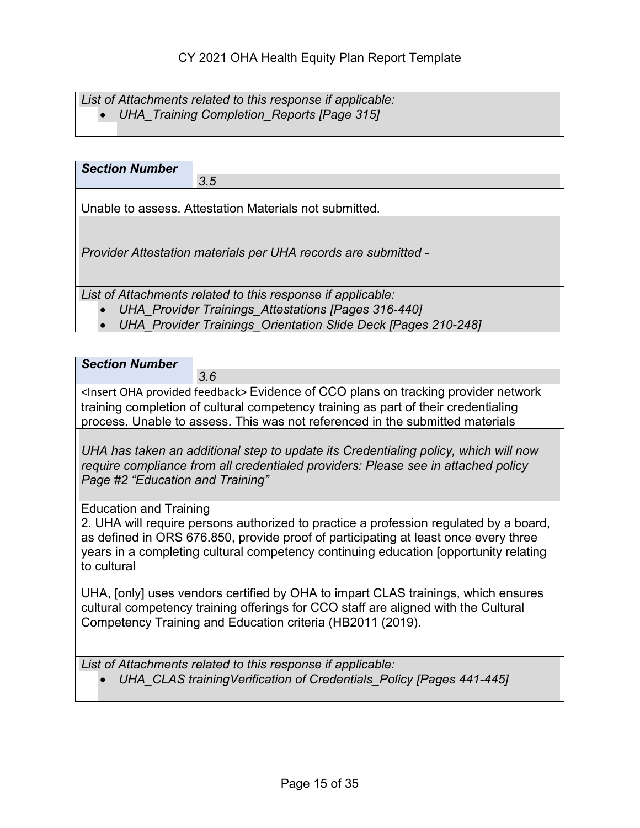## *List of Attachments related to this response if applicable:*

• *UHA\_Training Completion\_Reports [Page 315]* 

| <b>Section Number</b> |                                                                |
|-----------------------|----------------------------------------------------------------|
|                       | 3.5                                                            |
|                       | Unable to assess. Attestation Materials not submitted.         |
|                       |                                                                |
|                       |                                                                |
|                       | Provider Attestation materials per UHA records are submitted - |
|                       |                                                                |
|                       |                                                                |
|                       | List of Attachments related to this response if applicable:    |
|                       | <b>UHA Provider Trainings Attestations [Pages 316-440]</b>     |
|                       | UHA Provider Trainings Orientation Slide Deck [Pages 210-248]  |

| <b>Section Number</b>                                                                                                                                                                                                                                                        |                                                                                                                                                                                                                                                                      |
|------------------------------------------------------------------------------------------------------------------------------------------------------------------------------------------------------------------------------------------------------------------------------|----------------------------------------------------------------------------------------------------------------------------------------------------------------------------------------------------------------------------------------------------------------------|
|                                                                                                                                                                                                                                                                              | 3.6                                                                                                                                                                                                                                                                  |
| <insert feedback="" oha="" provided=""> Evidence of CCO plans on tracking provider network<br/>training completion of cultural competency training as part of their credentialing<br/>process. Unable to assess. This was not referenced in the submitted materials</insert> |                                                                                                                                                                                                                                                                      |
| Page #2 "Education and Training"                                                                                                                                                                                                                                             | UHA has taken an additional step to update its Credentialing policy, which will now<br>require compliance from all credentialed providers: Please see in attached policy                                                                                             |
| <b>Education and Training</b><br>to cultural                                                                                                                                                                                                                                 | 2. UHA will require persons authorized to practice a profession regulated by a board,<br>as defined in ORS 676.850, provide proof of participating at least once every three<br>years in a completing cultural competency continuing education [opportunity relating |
|                                                                                                                                                                                                                                                                              | UHA, [only] uses vendors certified by OHA to impart CLAS trainings, which ensures<br>cultural competency training offerings for CCO staff are aligned with the Cultural<br>Competency Training and Education criteria (HB2011 (2019).                                |
|                                                                                                                                                                                                                                                                              | List of Attachments related to this response if applicable:<br>UHA_CLAS training Verification of Credentials_Policy [Pages 441-445]                                                                                                                                  |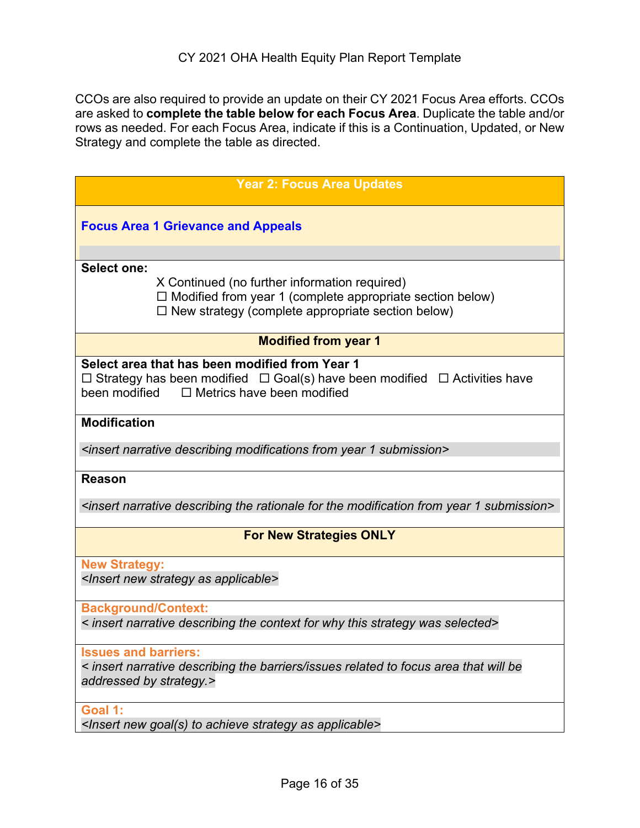CCOs are also required to provide an update on their CY 2021 Focus Area efforts. CCOs are asked to **complete the table below for each Focus Area**. Duplicate the table and/or rows as needed. For each Focus Area, indicate if this is a Continuation, Updated, or New Strategy and complete the table as directed.

| <b>Year 2: Focus Area Updates</b>                                                                                                                                                                  |
|----------------------------------------------------------------------------------------------------------------------------------------------------------------------------------------------------|
| <b>Focus Area 1 Grievance and Appeals</b>                                                                                                                                                          |
| <b>Select one:</b>                                                                                                                                                                                 |
| X Continued (no further information required)<br>$\Box$ Modified from year 1 (complete appropriate section below)<br>$\Box$ New strategy (complete appropriate section below)                      |
| <b>Modified from year 1</b>                                                                                                                                                                        |
| Select area that has been modified from Year 1<br>$\Box$ Strategy has been modified $\Box$ Goal(s) have been modified $\Box$ Activities have<br>been modified<br>$\Box$ Metrics have been modified |
| <b>Modification</b>                                                                                                                                                                                |
| <insert 1="" describing="" from="" modifications="" narrative="" submission="" year=""></insert>                                                                                                   |
| <b>Reason</b>                                                                                                                                                                                      |
| <insert 1="" describing="" for="" from="" modification="" narrative="" rationale="" submission="" the="" year=""></insert>                                                                         |
| <b>For New Strategies ONLY</b>                                                                                                                                                                     |
| <b>New Strategy:</b><br><insert applicable="" as="" new="" strategy=""></insert>                                                                                                                   |
| <b>Background/Context:</b><br>< insert narrative describing the context for why this strategy was selected>                                                                                        |
| <b>Issues and barriers:</b><br>< insert narrative describing the barriers/issues related to focus area that will be<br>addressed by strategy.>                                                     |
| Goal 1:<br><lnsert achieve="" applicable="" as="" goal(s)="" new="" strategy="" to=""></lnsert>                                                                                                    |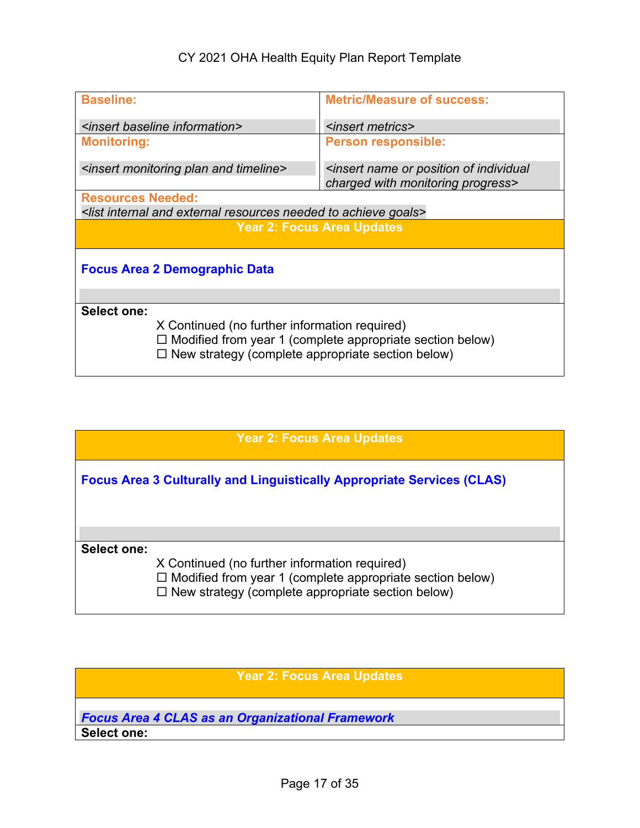## CY 2021 OHA Health Equity Plan Report Template

| <b>Baseline:</b>                                                                                          | <b>Metric/Measure of success:</b>                                                                      |  |
|-----------------------------------------------------------------------------------------------------------|--------------------------------------------------------------------------------------------------------|--|
| <insert baseline="" information=""></insert>                                                              | <insert metrics=""></insert>                                                                           |  |
| <b>Monitoring:</b>                                                                                        | <b>Person responsible:</b>                                                                             |  |
| <insert and="" monitoring="" plan="" timeline=""></insert>                                                | <insert individual<br="" name="" of="" or="" position="">charged with monitoring progress&gt;</insert> |  |
| <b>Resources Needed:</b>                                                                                  |                                                                                                        |  |
| <list achieve="" and="" external="" goals="" internal="" needed="" resources="" to=""></list>             |                                                                                                        |  |
|                                                                                                           | <b>Year 2: Focus Area Updates</b>                                                                      |  |
| <b>Focus Area 2 Demographic Data</b>                                                                      |                                                                                                        |  |
|                                                                                                           |                                                                                                        |  |
| Select one:                                                                                               |                                                                                                        |  |
| X Continued (no further information required)<br>$\Box$ New strategy (complete appropriate section below) | $\Box$ Modified from year 1 (complete appropriate section below)                                       |  |

|                    | <b>Year 2: Focus Area Updates</b>                                                                                                                                             |
|--------------------|-------------------------------------------------------------------------------------------------------------------------------------------------------------------------------|
|                    | <b>Focus Area 3 Culturally and Linguistically Appropriate Services (CLAS)</b>                                                                                                 |
| <b>Select one:</b> | X Continued (no further information required)<br>$\Box$ Modified from year 1 (complete appropriate section below)<br>$\Box$ New strategy (complete appropriate section below) |

#### **Year 2: Focus Area Updates**

*Focus Area 4 CLAS as an Organizational Framework* **Select one:**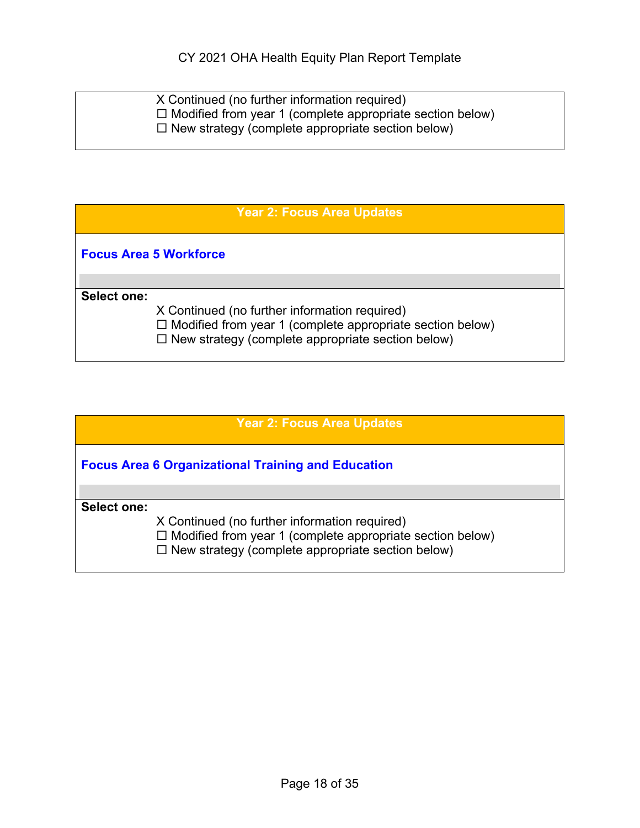| X Continued (no further information required)                    |
|------------------------------------------------------------------|
| $\Box$ Modified from year 1 (complete appropriate section below) |
| $\Box$ New strategy (complete appropriate section below)         |
|                                                                  |

| <b>Year 2: Focus Area Updates</b>                                                                                                                                             |  |
|-------------------------------------------------------------------------------------------------------------------------------------------------------------------------------|--|
| <b>Focus Area 5 Workforce</b>                                                                                                                                                 |  |
|                                                                                                                                                                               |  |
| Select one:                                                                                                                                                                   |  |
| X Continued (no further information required)<br>$\Box$ Modified from year 1 (complete appropriate section below)<br>$\Box$ New strategy (complete appropriate section below) |  |

| <b>Year 2: Focus Area Updates</b>                                |
|------------------------------------------------------------------|
| <b>Focus Area 6 Organizational Training and Education</b>        |
|                                                                  |
| Select one:                                                      |
| X Continued (no further information required)                    |
| $\Box$ Modified from year 1 (complete appropriate section below) |
| $\Box$ New strategy (complete appropriate section below)         |
|                                                                  |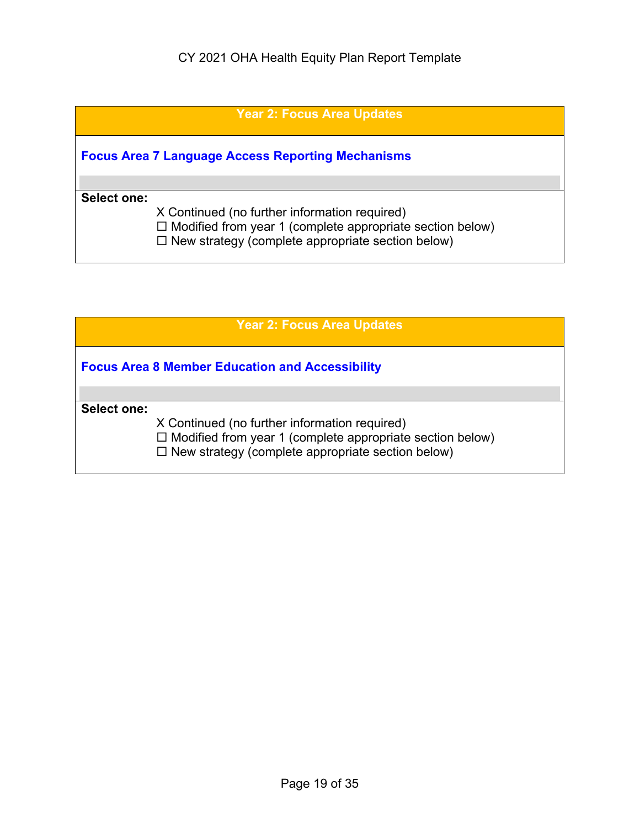|                    | <b>Year 2: Focus Area Updates</b>                                                                                                                                             |
|--------------------|-------------------------------------------------------------------------------------------------------------------------------------------------------------------------------|
|                    | <b>Focus Area 7 Language Access Reporting Mechanisms</b>                                                                                                                      |
|                    |                                                                                                                                                                               |
| <b>Select one:</b> | X Continued (no further information required)<br>$\Box$ Modified from year 1 (complete appropriate section below)<br>$\Box$ New strategy (complete appropriate section below) |

|                    | <b>Year 2: Focus Area Updates</b>                                                                                                                                             |
|--------------------|-------------------------------------------------------------------------------------------------------------------------------------------------------------------------------|
|                    | <b>Focus Area 8 Member Education and Accessibility</b>                                                                                                                        |
|                    |                                                                                                                                                                               |
| <b>Select one:</b> |                                                                                                                                                                               |
|                    | X Continued (no further information required)<br>$\Box$ Modified from year 1 (complete appropriate section below)<br>$\Box$ New strategy (complete appropriate section below) |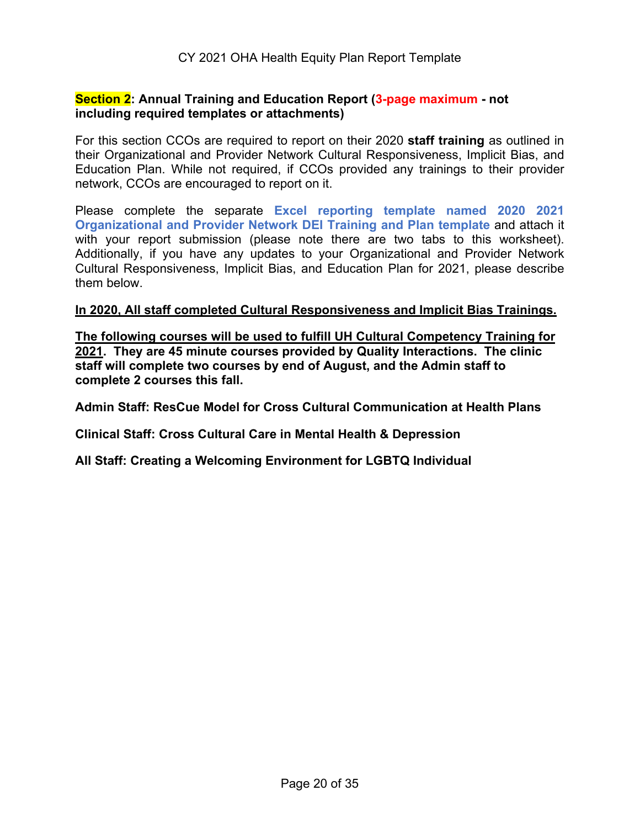#### **Section 2: Annual Training and Education Report (3-page maximum - not including required templates or attachments)**

For this section CCOs are required to report on their 2020 **staff training** as outlined in their Organizational and Provider Network Cultural Responsiveness, Implicit Bias, and Education Plan. While not required, if CCOs provided any trainings to their provider network, CCOs are encouraged to report on it.

Please complete the separate **Excel reporting template named 2020 2021 Organizational and Provider Network DEI Training and Plan template** and attach it with your report submission (please note there are two tabs to this worksheet). Additionally, if you have any updates to your Organizational and Provider Network Cultural Responsiveness, Implicit Bias, and Education Plan for 2021, please describe them below.

#### **In 2020, All staff completed Cultural Responsiveness and Implicit Bias Trainings.**

**The following courses will be used to fulfill UH Cultural Competency Training for 2021. They are 45 minute courses provided by Quality Interactions. The clinic staff will complete two courses by end of August, and the Admin staff to complete 2 courses this fall.**

**Admin Staff: ResCue Model for Cross Cultural Communication at Health Plans**

**Clinical Staff: Cross Cultural Care in Mental Health & Depression**

**All Staff: Creating a Welcoming Environment for LGBTQ Individual**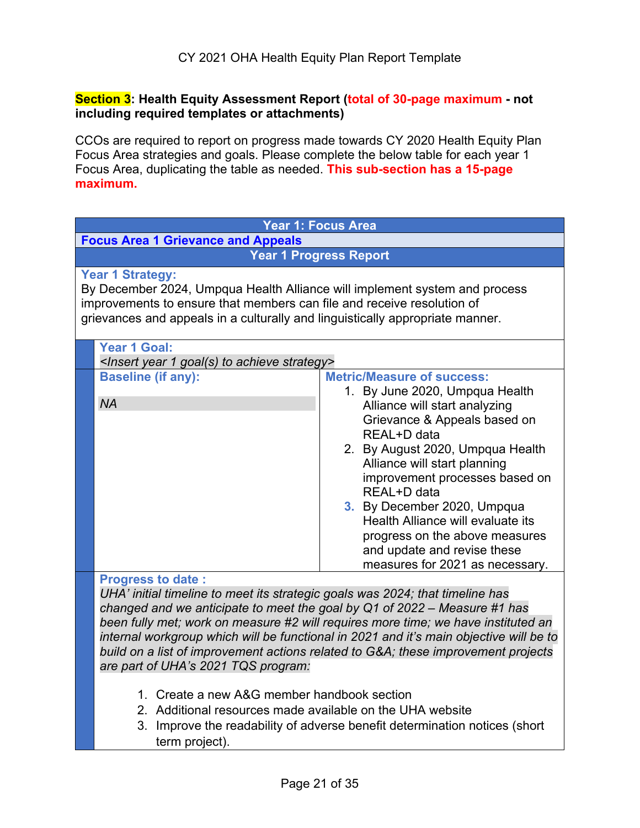#### **Section 3: Health Equity Assessment Report (total of 30-page maximum - not including required templates or attachments)**

CCOs are required to report on progress made towards CY 2020 Health Equity Plan Focus Area strategies and goals. Please complete the below table for each year 1 Focus Area, duplicating the table as needed. **This sub-section has a 15-page maximum.**

| Year 1: Focus Area                                                                                                                                                                                                                                                                                                                                          |                                                                                                                                                                                                                                                                                                                                                                                                                                                  |
|-------------------------------------------------------------------------------------------------------------------------------------------------------------------------------------------------------------------------------------------------------------------------------------------------------------------------------------------------------------|--------------------------------------------------------------------------------------------------------------------------------------------------------------------------------------------------------------------------------------------------------------------------------------------------------------------------------------------------------------------------------------------------------------------------------------------------|
| <b>Focus Area 1 Grievance and Appeals</b>                                                                                                                                                                                                                                                                                                                   |                                                                                                                                                                                                                                                                                                                                                                                                                                                  |
| <b>Year 1 Progress Report</b>                                                                                                                                                                                                                                                                                                                               |                                                                                                                                                                                                                                                                                                                                                                                                                                                  |
| <b>Year 1 Strategy:</b><br>By December 2024, Umpqua Health Alliance will implement system and process<br>improvements to ensure that members can file and receive resolution of<br>grievances and appeals in a culturally and linguistically appropriate manner.                                                                                            |                                                                                                                                                                                                                                                                                                                                                                                                                                                  |
| <b>Year 1 Goal:</b><br><insert 1="" achieve="" goal(s)="" strategy="" to="" year=""></insert>                                                                                                                                                                                                                                                               |                                                                                                                                                                                                                                                                                                                                                                                                                                                  |
| <b>Baseline (if any):</b><br><b>NA</b>                                                                                                                                                                                                                                                                                                                      | <b>Metric/Measure of success:</b><br>1. By June 2020, Umpqua Health<br>Alliance will start analyzing<br>Grievance & Appeals based on<br>REAL+D data<br>2. By August 2020, Umpqua Health<br>Alliance will start planning<br>improvement processes based on<br>REAL+D data<br>3. By December 2020, Umpqua<br>Health Alliance will evaluate its<br>progress on the above measures<br>and update and revise these<br>measures for 2021 as necessary. |
| <b>Progress to date:</b><br>UHA' initial timeline to meet its strategic goals was 2024; that timeline has<br>changed and we anticipate to meet the goal by Q1 of 2022 – Measure #1 has<br>are part of UHA's 2021 TQS program:<br>1. Create a new A&G member handbook section<br>2. Additional resources made available on the UHA website<br>term project). | been fully met; work on measure #2 will requires more time; we have instituted an<br>internal workgroup which will be functional in 2021 and it's main objective will be to<br>build on a list of improvement actions related to G&A these improvement projects<br>3. Improve the readability of adverse benefit determination notices (short                                                                                                    |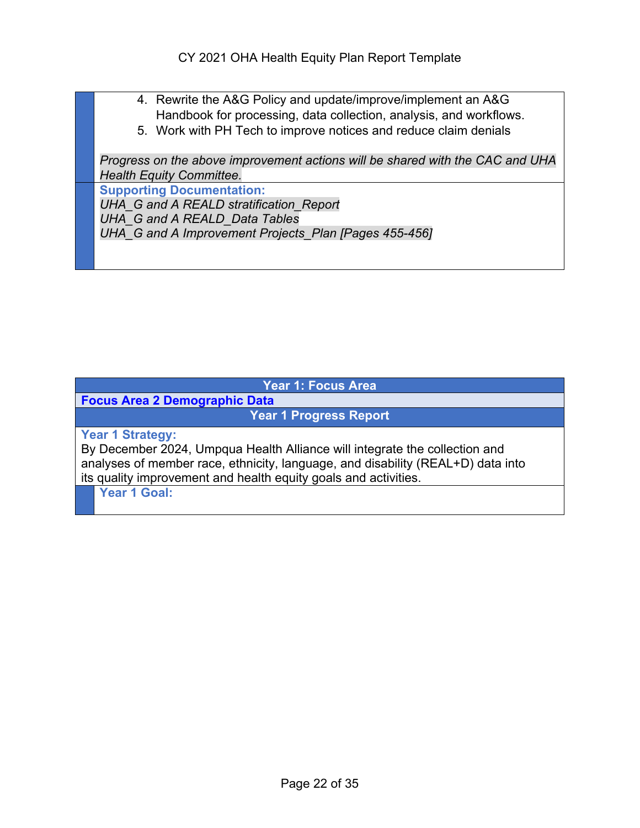- 4. Rewrite the A&G Policy and update/improve/implement an A&G Handbook for processing, data collection, analysis, and workflows.
- 5. Work with PH Tech to improve notices and reduce claim denials

*Progress on the above improvement actions will be shared with the CAC and UHA Health Equity Committee.* 

**Supporting Documentation:** 

*UHA\_G and A REALD stratification\_Report UHA\_G and A REALD\_Data Tables UHA\_G and A Improvement Projects\_Plan [Pages 455-456]* 

#### **Year 1: Focus Area**

**Focus Area 2 Demographic Data**

**Year 1 Progress Report**

**Year 1 Strategy:**

By December 2024, Umpqua Health Alliance will integrate the collection and analyses of member race, ethnicity, language, and disability (REAL+D) data into its quality improvement and health equity goals and activities.

**Year 1 Goal:**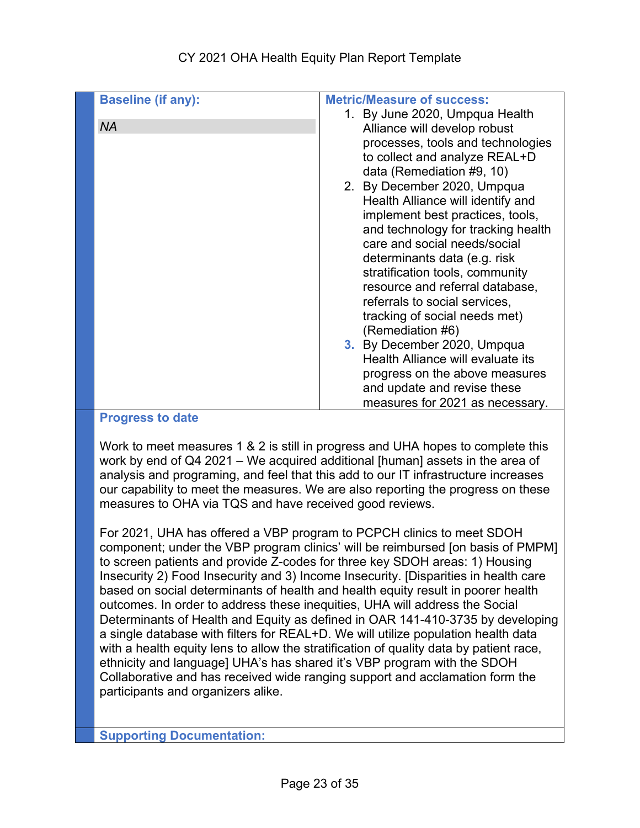| <b>Baseline (if any):</b> | <b>Metric/Measure of success:</b>  |
|---------------------------|------------------------------------|
|                           | 1. By June 2020, Umpqua Health     |
| <b>NA</b>                 | Alliance will develop robust       |
|                           | processes, tools and technologies  |
|                           | to collect and analyze REAL+D      |
|                           | data (Remediation #9, 10)          |
|                           | 2. By December 2020, Umpqua        |
|                           | Health Alliance will identify and  |
|                           | implement best practices, tools,   |
|                           | and technology for tracking health |
|                           | care and social needs/social       |
|                           | determinants data (e.g. risk       |
|                           | stratification tools, community    |
|                           | resource and referral database,    |
|                           | referrals to social services,      |
|                           | tracking of social needs met)      |
|                           | (Remediation #6)                   |
|                           | 3. By December 2020, Umpqua        |
|                           | Health Alliance will evaluate its  |
|                           | progress on the above measures     |
|                           | and update and revise these        |
|                           | measures for 2021 as necessary.    |

#### **Progress to date**

Work to meet measures 1 & 2 is still in progress and UHA hopes to complete this work by end of Q4 2021 – We acquired additional [human] assets in the area of analysis and programing, and feel that this add to our IT infrastructure increases our capability to meet the measures. We are also reporting the progress on these measures to OHA via TQS and have received good reviews.

For 2021, UHA has offered a VBP program to PCPCH clinics to meet SDOH component; under the VBP program clinics' will be reimbursed [on basis of PMPM] to screen patients and provide Z-codes for three key SDOH areas: 1) Housing Insecurity 2) Food Insecurity and 3) Income Insecurity. [Disparities in health care based on social determinants of health and health equity result in poorer health outcomes. In order to address these inequities, UHA will address the Social Determinants of Health and Equity as defined in OAR 141-410-3735 by developing a single database with filters for REAL+D. We will utilize population health data with a health equity lens to allow the stratification of quality data by patient race, ethnicity and language] UHA's has shared it's VBP program with the SDOH Collaborative and has received wide ranging support and acclamation form the participants and organizers alike.

**Supporting Documentation:**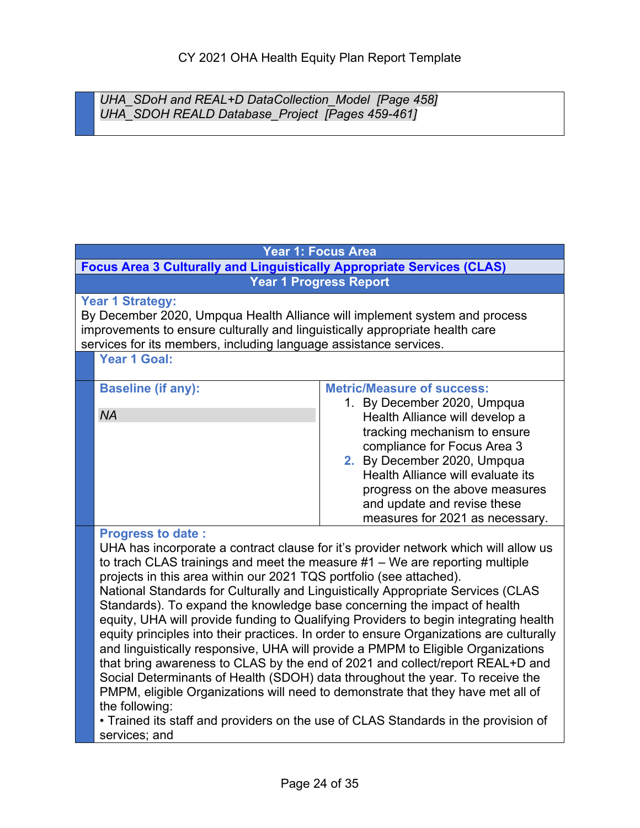*UHA\_SDoH and REAL+D DataCollection\_Model [Page 458] UHA\_SDOH REALD Database\_Project [Pages 459-461]*

#### **Year 1: Focus Area**

**Focus Area 3 Culturally and Linguistically Appropriate Services (CLAS) Year 1 Progress Report**

#### **Year 1 Strategy:**

By December 2020, Umpqua Health Alliance will implement system and process improvements to ensure culturally and linguistically appropriate health care services for its members, including language assistance services.

**Year 1 Goal:**

| <b>Baseline (if any):</b> | <b>Metric/Measure of success:</b> |
|---------------------------|-----------------------------------|
|                           | 1. By December 2020, Umpqua       |
| <b>NA</b>                 | Health Alliance will develop a    |
|                           | tracking mechanism to ensure      |
|                           | compliance for Focus Area 3       |
|                           | 2. By December 2020, Umpqua       |
|                           | Health Alliance will evaluate its |
|                           | progress on the above measures    |
|                           | and update and revise these       |
|                           | measures for 2021 as necessary.   |

#### **Progress to date :**

UHA has incorporate a contract clause for it's provider network which will allow us to trach CLAS trainings and meet the measure #1 – We are reporting multiple projects in this area within our 2021 TQS portfolio (see attached). National Standards for Culturally and Linguistically Appropriate Services (CLAS Standards). To expand the knowledge base concerning the impact of health equity, UHA will provide funding to Qualifying Providers to begin integrating health equity principles into their practices. In order to ensure Organizations are culturally and linguistically responsive, UHA will provide a PMPM to Eligible Organizations that bring awareness to CLAS by the end of 2021 and collect/report REAL+D and Social Determinants of Health (SDOH) data throughout the year. To receive the PMPM, eligible Organizations will need to demonstrate that they have met all of the following:

• Trained its staff and providers on the use of CLAS Standards in the provision of services; and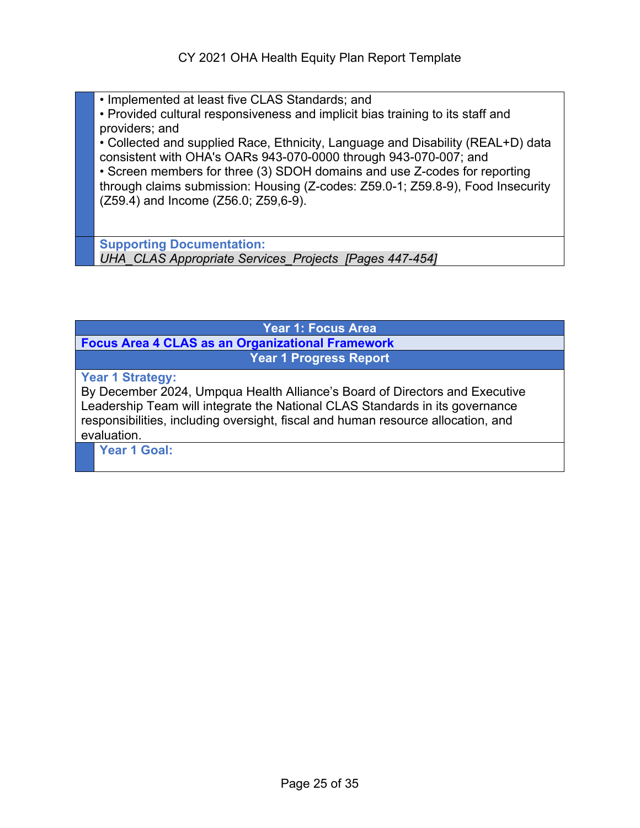- Implemented at least five CLAS Standards; and
- Provided cultural responsiveness and implicit bias training to its staff and providers; and

• Collected and supplied Race, Ethnicity, Language and Disability (REAL+D) data consistent with OHA's OARs 943-070-0000 through 943-070-007; and

• Screen members for three (3) SDOH domains and use Z-codes for reporting through claims submission: Housing (Z-codes: Z59.0-1; Z59.8-9), Food Insecurity (Z59.4) and Income (Z56.0; Z59,6-9).

**Supporting Documentation:**  *UHA\_CLAS Appropriate Services\_Projects [Pages 447-454]* 

#### **Year 1: Focus Area Focus Area 4 CLAS as an Organizational Framework Year 1 Progress Report**

**Year 1 Strategy:**

By December 2024, Umpqua Health Alliance's Board of Directors and Executive Leadership Team will integrate the National CLAS Standards in its governance responsibilities, including oversight, fiscal and human resource allocation, and evaluation.

**Year 1 Goal:**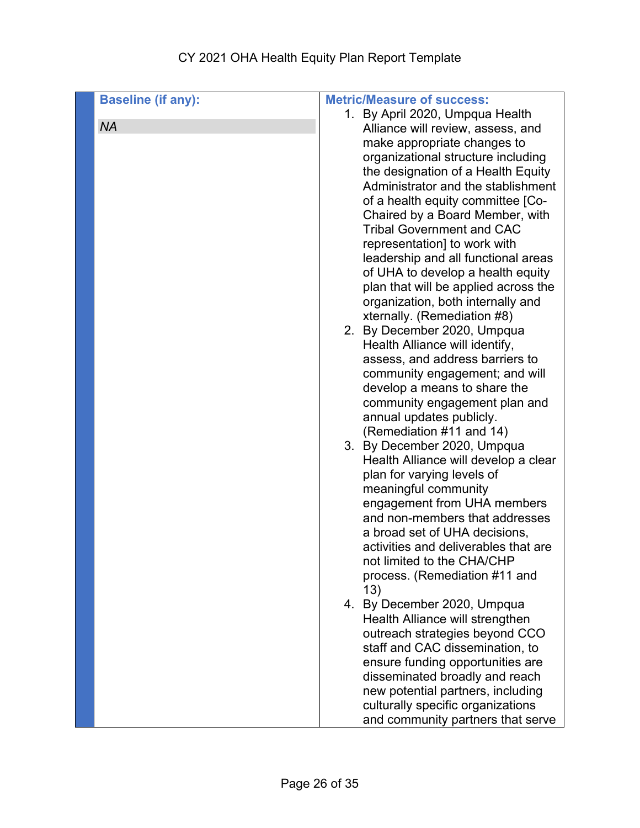## CY 2021 OHA Health Equity Plan Report Template

| <b>Baseline (if any):</b> | <b>Metric/Measure of success:</b>                          |
|---------------------------|------------------------------------------------------------|
|                           | 1. By April 2020, Umpqua Health                            |
| <b>NA</b>                 | Alliance will review, assess, and                          |
|                           | make appropriate changes to                                |
|                           | organizational structure including                         |
|                           | the designation of a Health Equity                         |
|                           | Administrator and the stablishment                         |
|                           | of a health equity committee [Co-                          |
|                           | Chaired by a Board Member, with                            |
|                           | <b>Tribal Government and CAC</b>                           |
|                           | representation] to work with                               |
|                           | leadership and all functional areas                        |
|                           | of UHA to develop a health equity                          |
|                           | plan that will be applied across the                       |
|                           | organization, both internally and                          |
|                           | xternally. (Remediation #8)<br>2. By December 2020, Umpqua |
|                           | Health Alliance will identify,                             |
|                           | assess, and address barriers to                            |
|                           | community engagement; and will                             |
|                           | develop a means to share the                               |
|                           | community engagement plan and                              |
|                           | annual updates publicly.                                   |
|                           | (Remediation #11 and 14)                                   |
|                           | 3. By December 2020, Umpqua                                |
|                           | Health Alliance will develop a clear                       |
|                           | plan for varying levels of                                 |
|                           | meaningful community                                       |
|                           | engagement from UHA members                                |
|                           | and non-members that addresses                             |
|                           | a broad set of UHA decisions,                              |
|                           | activities and deliverables that are                       |
|                           | not limited to the CHA/CHP                                 |
|                           | process. (Remediation #11 and<br>13)                       |
|                           | 4. By December 2020, Umpqua                                |
|                           | Health Alliance will strengthen                            |
|                           | outreach strategies beyond CCO                             |
|                           | staff and CAC dissemination, to                            |
|                           | ensure funding opportunities are                           |
|                           | disseminated broadly and reach                             |
|                           | new potential partners, including                          |
|                           | culturally specific organizations                          |
|                           | and community partners that serve                          |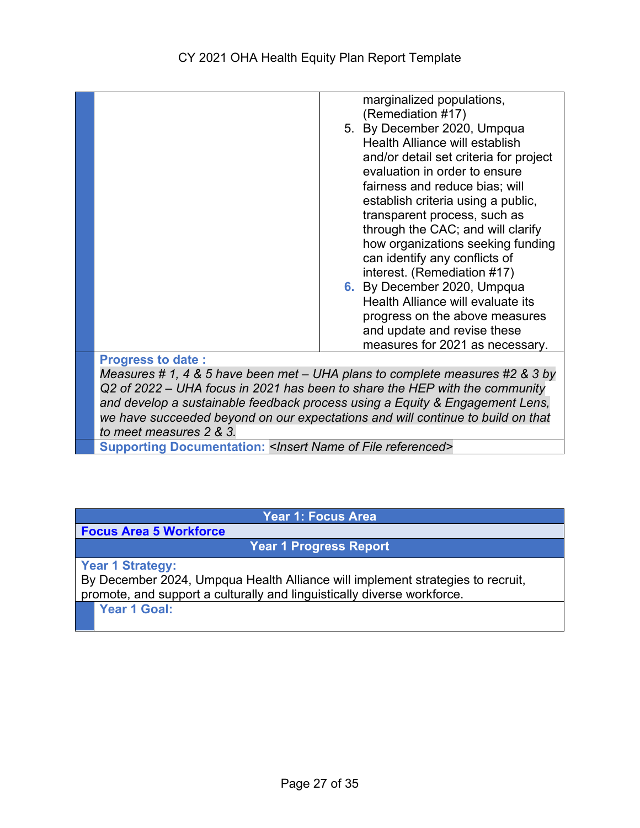|                          | marginalized populations,                                                                                                                                                                                                                                                                                                                                                                     |
|--------------------------|-----------------------------------------------------------------------------------------------------------------------------------------------------------------------------------------------------------------------------------------------------------------------------------------------------------------------------------------------------------------------------------------------|
|                          | (Remediation #17)                                                                                                                                                                                                                                                                                                                                                                             |
|                          | 5. By December 2020, Umpqua                                                                                                                                                                                                                                                                                                                                                                   |
|                          | Health Alliance will establish                                                                                                                                                                                                                                                                                                                                                                |
|                          | and/or detail set criteria for project                                                                                                                                                                                                                                                                                                                                                        |
|                          | evaluation in order to ensure                                                                                                                                                                                                                                                                                                                                                                 |
|                          | fairness and reduce bias; will                                                                                                                                                                                                                                                                                                                                                                |
|                          | establish criteria using a public,                                                                                                                                                                                                                                                                                                                                                            |
|                          | transparent process, such as                                                                                                                                                                                                                                                                                                                                                                  |
|                          | through the CAC; and will clarify                                                                                                                                                                                                                                                                                                                                                             |
|                          | how organizations seeking funding                                                                                                                                                                                                                                                                                                                                                             |
|                          | can identify any conflicts of                                                                                                                                                                                                                                                                                                                                                                 |
|                          | interest. (Remediation #17)                                                                                                                                                                                                                                                                                                                                                                   |
|                          | 6. By December 2020, Umpqua                                                                                                                                                                                                                                                                                                                                                                   |
|                          | Health Alliance will evaluate its                                                                                                                                                                                                                                                                                                                                                             |
|                          | progress on the above measures                                                                                                                                                                                                                                                                                                                                                                |
|                          | and update and revise these                                                                                                                                                                                                                                                                                                                                                                   |
|                          | measures for 2021 as necessary.                                                                                                                                                                                                                                                                                                                                                               |
|                          |                                                                                                                                                                                                                                                                                                                                                                                               |
| <b>Progress to date:</b> | $\overline{a}$ , $\overline{a}$ , $\overline{a}$ , $\overline{a}$ , $\overline{a}$ , $\overline{a}$ , $\overline{a}$ , $\overline{a}$ , $\overline{a}$ , $\overline{a}$ , $\overline{a}$ , $\overline{a}$ , $\overline{a}$ , $\overline{a}$ , $\overline{a}$ , $\overline{a}$ , $\overline{a}$ , $\overline{a}$ , $\overline{a}$ , $\overline{a}$ ,<br>$\mathbf{a}$ $\mathbf{b}$ $\mathbf{c}$ |
|                          |                                                                                                                                                                                                                                                                                                                                                                                               |

*Measures # 1, 4 & 5 have been met – UHA plans to complete measures #2 & 3 by Q2 of 2022 – UHA focus in 2021 has been to share the HEP with the community and develop a sustainable feedback process using a Equity & Engagement Lens, we have succeeded beyond on our expectations and will continue to build on that to meet measures 2 & 3.* 

**Supporting Documentation:** *<Insert Name of File referenced>*

**Year 1: Focus Area** 

**Focus Area 5 Workforce**

**Year 1 Progress Report**

**Year 1 Strategy:**

By December 2024, Umpqua Health Alliance will implement strategies to recruit, promote, and support a culturally and linguistically diverse workforce.

**Year 1 Goal:**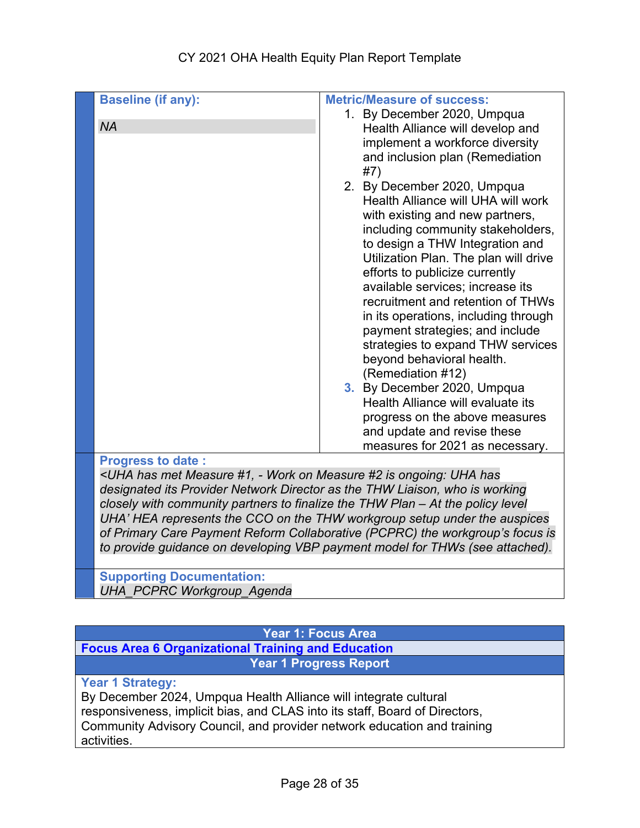|                                                                                                                      | <b>Metric/Measure of success:</b>                                                                                                                                                                                                                                                                                                                                                                                                                                                                                                                                                                                                                                                                                                                        |
|----------------------------------------------------------------------------------------------------------------------|----------------------------------------------------------------------------------------------------------------------------------------------------------------------------------------------------------------------------------------------------------------------------------------------------------------------------------------------------------------------------------------------------------------------------------------------------------------------------------------------------------------------------------------------------------------------------------------------------------------------------------------------------------------------------------------------------------------------------------------------------------|
| <b>Baseline (if any):</b><br><b>NA</b>                                                                               | 1. By December 2020, Umpqua<br>Health Alliance will develop and<br>implement a workforce diversity<br>and inclusion plan (Remediation<br>#7)<br>2. By December 2020, Umpqua<br>Health Alliance will UHA will work<br>with existing and new partners,<br>including community stakeholders,<br>to design a THW Integration and<br>Utilization Plan. The plan will drive<br>efforts to publicize currently<br>available services; increase its<br>recruitment and retention of THWs<br>in its operations, including through<br>payment strategies; and include<br>strategies to expand THW services<br>beyond behavioral health.<br>(Remediation #12)<br>3. By December 2020, Umpqua<br>Health Alliance will evaluate its<br>progress on the above measures |
|                                                                                                                      | and update and revise these<br>measures for 2021 as necessary.                                                                                                                                                                                                                                                                                                                                                                                                                                                                                                                                                                                                                                                                                           |
| <b>Progress to date:</b>                                                                                             |                                                                                                                                                                                                                                                                                                                                                                                                                                                                                                                                                                                                                                                                                                                                                          |
| <uha #1,="" #2="" -="" has="" has<="" is="" measure="" met="" on="" ongoing:="" td="" uha="" work=""><td></td></uha> |                                                                                                                                                                                                                                                                                                                                                                                                                                                                                                                                                                                                                                                                                                                                                          |

*designated its Provider Network Director as the THW Liaison, who is working closely with community partners to finalize the THW Plan – At the policy level UHA' HEA represents the CCO on the THW workgroup setup under the auspices of Primary Care Payment Reform Collaborative (PCPRC) the workgroup's focus is to provide guidance on developing VBP payment model for THWs (see attached).*

**Supporting Documentation:**  *UHA\_PCPRC Workgroup\_Agenda*

#### **Year 1: Focus Area Focus Area 6 Organizational Training and Education Year 1 Progress Report**

**Year 1 Strategy:**

By December 2024, Umpqua Health Alliance will integrate cultural responsiveness, implicit bias, and CLAS into its staff, Board of Directors, Community Advisory Council, and provider network education and training activities.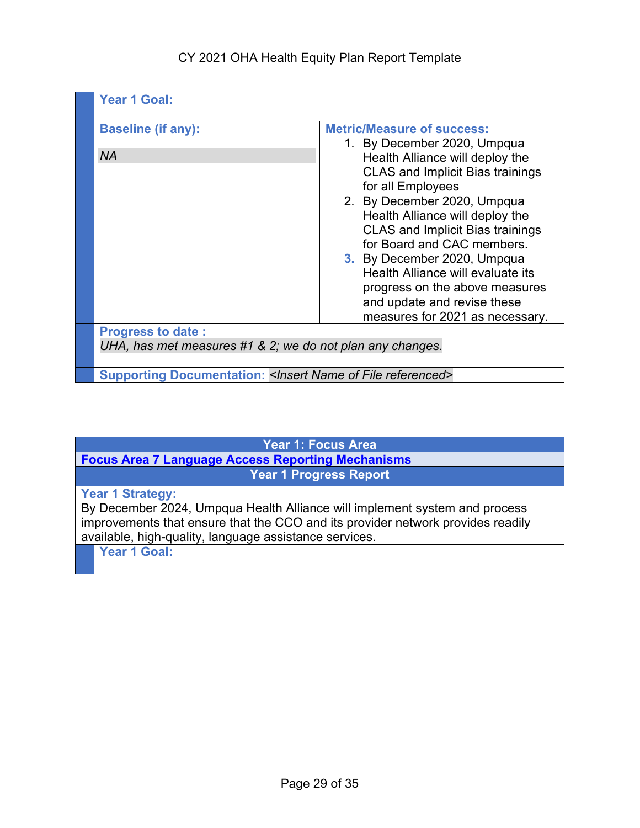#### CY 2021 OHA Health Equity Plan Report Template

| <b>Year 1 Goal:</b>                                                                   |                                                                                                                                                                                                                                                                                                                                                                                                                                                                                        |
|---------------------------------------------------------------------------------------|----------------------------------------------------------------------------------------------------------------------------------------------------------------------------------------------------------------------------------------------------------------------------------------------------------------------------------------------------------------------------------------------------------------------------------------------------------------------------------------|
| <b>Baseline (if any):</b><br><b>NA</b>                                                | <b>Metric/Measure of success:</b><br>1. By December 2020, Umpqua<br>Health Alliance will deploy the<br><b>CLAS and Implicit Bias trainings</b><br>for all Employees<br>2. By December 2020, Umpqua<br>Health Alliance will deploy the<br><b>CLAS and Implicit Bias trainings</b><br>for Board and CAC members.<br>3. By December 2020, Umpqua<br>Health Alliance will evaluate its<br>progress on the above measures<br>and update and revise these<br>measures for 2021 as necessary. |
| <b>Progress to date:</b><br>UHA, has met measures #1 & 2; we do not plan any changes. |                                                                                                                                                                                                                                                                                                                                                                                                                                                                                        |
| <b>Supporting Documentation: &lt; Insert Name of File referenced&gt;</b>              |                                                                                                                                                                                                                                                                                                                                                                                                                                                                                        |

**Year 1: Focus Area** 

**Focus Area 7 Language Access Reporting Mechanisms Year 1 Progress Report**

**Year 1 Strategy:**

By December 2024, Umpqua Health Alliance will implement system and process improvements that ensure that the CCO and its provider network provides readily available, high-quality, language assistance services.

**Year 1 Goal:**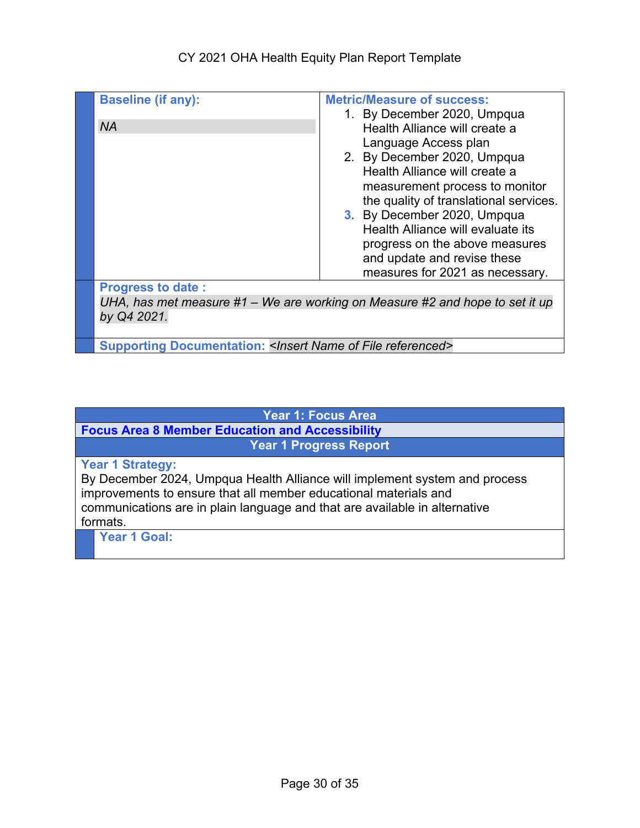#### CY 2021 OHA Health Equity Plan Report Template

| <b>Baseline (if any):</b>                                                | <b>Metric/Measure of success:</b><br>1. By December 2020, Umpqua                                                                                                                                                                                                                                                                                                          |
|--------------------------------------------------------------------------|---------------------------------------------------------------------------------------------------------------------------------------------------------------------------------------------------------------------------------------------------------------------------------------------------------------------------------------------------------------------------|
| <b>NA</b>                                                                | Health Alliance will create a<br>Language Access plan<br>2. By December 2020, Umpqua<br>Health Alliance will create a<br>measurement process to monitor<br>the quality of translational services.<br>3. By December 2020, Umpqua<br>Health Alliance will evaluate its<br>progress on the above measures<br>and update and revise these<br>measures for 2021 as necessary. |
| <b>Progress to date:</b>                                                 |                                                                                                                                                                                                                                                                                                                                                                           |
| by Q4 2021.                                                              | UHA, has met measure #1 – We are working on Measure #2 and hope to set it up                                                                                                                                                                                                                                                                                              |
| <b>Supporting Documentation: &lt; Insert Name of File referenced&gt;</b> |                                                                                                                                                                                                                                                                                                                                                                           |

## **Year 1: Focus Area**

**Focus Area 8 Member Education and Accessibility Year 1 Progress Report**

#### **Year 1 Strategy:**

By December 2024, Umpqua Health Alliance will implement system and process improvements to ensure that all member educational materials and communications are in plain language and that are available in alternative formats.

**Year 1 Goal:**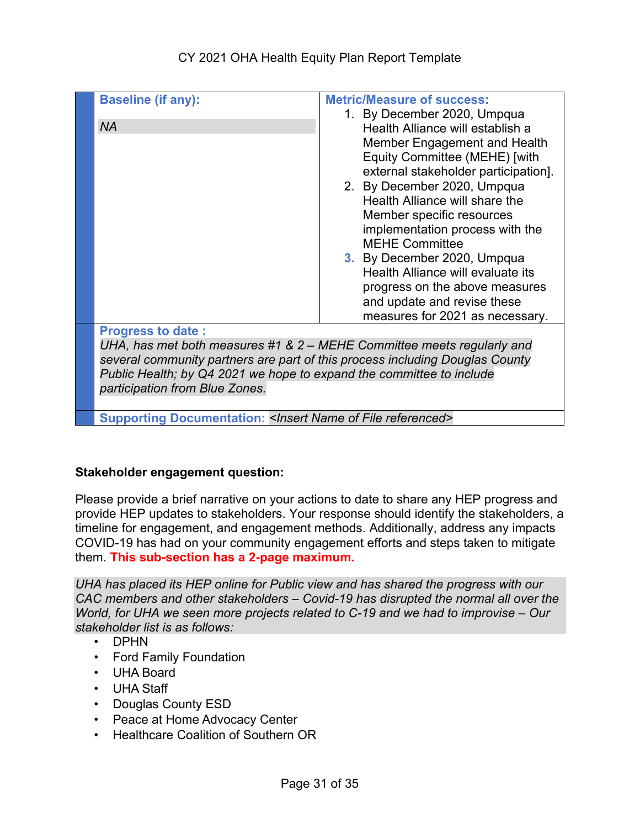| <b>Baseline (if any):</b><br><b>NA</b>                                                                                                                                                                                                                                                       | <b>Metric/Measure of success:</b><br>1. By December 2020, Umpqua<br>Health Alliance will establish a<br>Member Engagement and Health<br>Equity Committee (MEHE) [with<br>external stakeholder participation].<br>2. By December 2020, Umpqua<br>Health Alliance will share the<br>Member specific resources<br>implementation process with the<br><b>MEHE Committee</b><br>3. By December 2020, Umpqua<br>Health Alliance will evaluate its<br>progress on the above measures<br>and update and revise these<br>measures for 2021 as necessary. |
|----------------------------------------------------------------------------------------------------------------------------------------------------------------------------------------------------------------------------------------------------------------------------------------------|-------------------------------------------------------------------------------------------------------------------------------------------------------------------------------------------------------------------------------------------------------------------------------------------------------------------------------------------------------------------------------------------------------------------------------------------------------------------------------------------------------------------------------------------------|
| <b>Progress to date:</b><br>UHA, has met both measures #1 & 2 - MEHE Committee meets regularly and<br>several community partners are part of this process including Douglas County<br>Public Health; by Q4 2021 we hope to expand the committee to include<br>participation from Blue Zones. |                                                                                                                                                                                                                                                                                                                                                                                                                                                                                                                                                 |
| <b>Supporting Documentation: &lt; Insert Name of File referenced&gt;</b>                                                                                                                                                                                                                     |                                                                                                                                                                                                                                                                                                                                                                                                                                                                                                                                                 |

#### **Stakeholder engagement question:**

Please provide a brief narrative on your actions to date to share any HEP progress and provide HEP updates to stakeholders. Your response should identify the stakeholders, a timeline for engagement, and engagement methods. Additionally, address any impacts COVID-19 has had on your community engagement efforts and steps taken to mitigate them. **This sub-section has a 2-page maximum.**

*UHA has placed its HEP online for Public view and has shared the progress with our CAC members and other stakeholders – Covid-19 has disrupted the normal all over the World, for UHA we seen more projects related to C-19 and we had to improvise – Our stakeholder list is as follows:*

- DPHN
- Ford Family Foundation
- UHA Board
- UHA Staff
- Douglas County ESD
- Peace at Home Advocacy Center
- Healthcare Coalition of Southern OR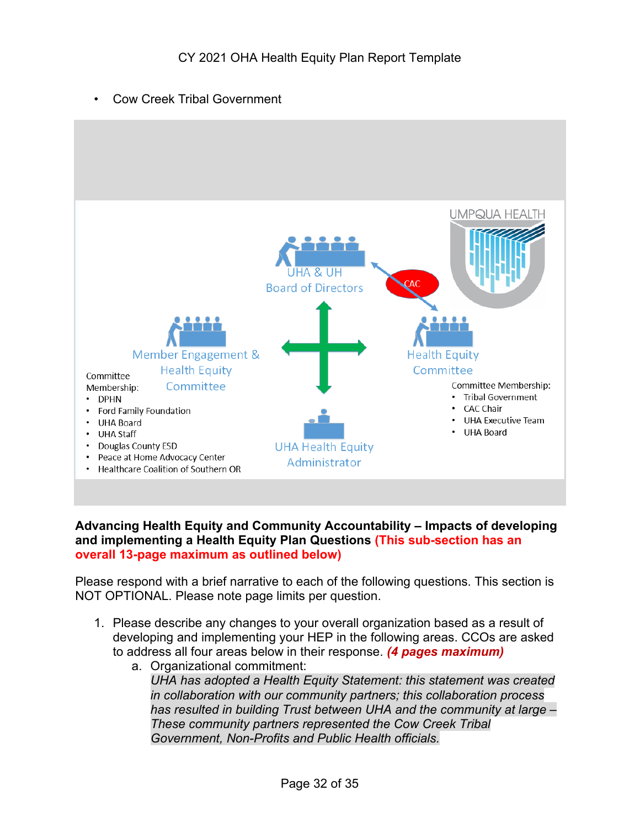• Cow Creek Tribal Government



#### **Advancing Health Equity and Community Accountability – Impacts of developing and implementing a Health Equity Plan Questions (This sub-section has an overall 13-page maximum as outlined below)**

Please respond with a brief narrative to each of the following questions. This section is NOT OPTIONAL. Please note page limits per question.

- 1. Please describe any changes to your overall organization based as a result of developing and implementing your HEP in the following areas. CCOs are asked to address all four areas below in their response. *(4 pages maximum)*
	- a. Organizational commitment: *UHA has adopted a Health Equity Statement: this statement was created in collaboration with our community partners; this collaboration process has resulted in building Trust between UHA and the community at large – These community partners represented the Cow Creek Tribal Government, Non-Profits and Public Health officials.*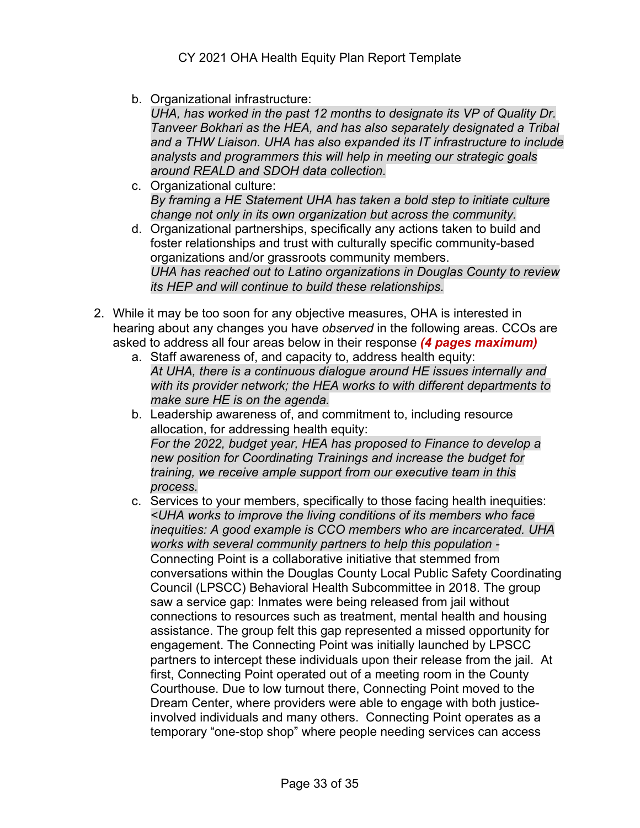b. Organizational infrastructure:

*UHA, has worked in the past 12 months to designate its VP of Quality Dr. Tanveer Bokhari as the HEA, and has also separately designated a Tribal and a THW Liaison. UHA has also expanded its IT infrastructure to include analysts and programmers this will help in meeting our strategic goals around REALD and SDOH data collection.* 

- c. Organizational culture: *By framing a HE Statement UHA has taken a bold step to initiate culture change not only in its own organization but across the community.*
- d. Organizational partnerships, specifically any actions taken to build and foster relationships and trust with culturally specific community-based organizations and/or grassroots community members. *UHA has reached out to Latino organizations in Douglas County to review its HEP and will continue to build these relationships.*
- 2. While it may be too soon for any objective measures, OHA is interested in hearing about any changes you have *observed* in the following areas. CCOs are asked to address all four areas below in their response *(4 pages maximum)*
	- a. Staff awareness of, and capacity to, address health equity: *At UHA, there is a continuous dialogue around HE issues internally and with its provider network; the HEA works to with different departments to make sure HE is on the agenda.*
	- b. Leadership awareness of, and commitment to, including resource allocation, for addressing health equity: *For the 2022, budget year, HEA has proposed to Finance to develop a new position for Coordinating Trainings and increase the budget for training, we receive ample support from our executive team in this process.*
	- c. Services to your members, specifically to those facing health inequities: *<UHA works to improve the living conditions of its members who face inequities: A good example is CCO members who are incarcerated. UHA works with several community partners to help this population -* Connecting Point is a collaborative initiative that stemmed from conversations within the Douglas County Local Public Safety Coordinating Council (LPSCC) Behavioral Health Subcommittee in 2018. The group saw a service gap: Inmates were being released from jail without connections to resources such as treatment, mental health and housing assistance. The group felt this gap represented a missed opportunity for engagement. The Connecting Point was initially launched by LPSCC partners to intercept these individuals upon their release from the jail. At first, Connecting Point operated out of a meeting room in the County Courthouse. Due to low turnout there, Connecting Point moved to the Dream Center, where providers were able to engage with both justiceinvolved individuals and many others. Connecting Point operates as a temporary "one-stop shop" where people needing services can access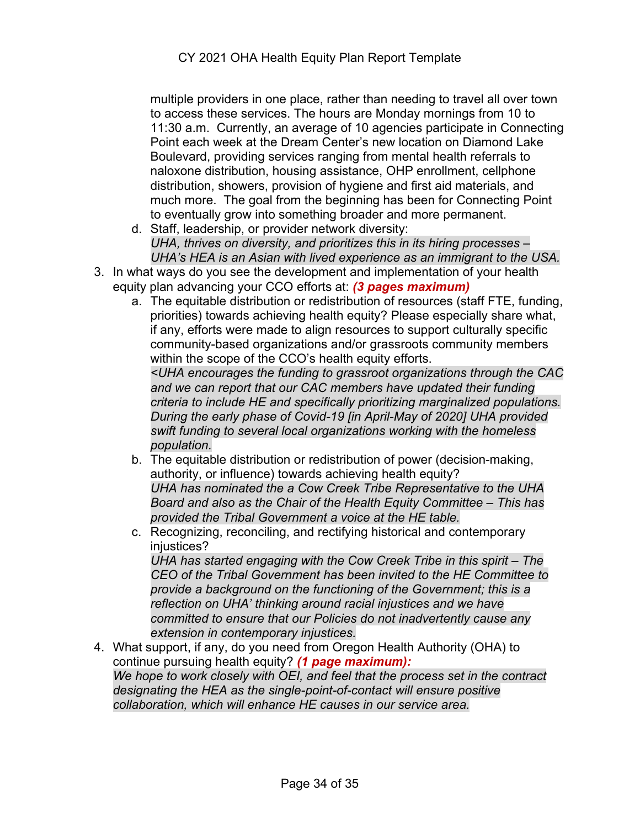multiple providers in one place, rather than needing to travel all over town to access these services. The hours are Monday mornings from 10 to 11:30 a.m. Currently, an average of 10 agencies participate in Connecting Point each week at the Dream Center's new location on Diamond Lake Boulevard, providing services ranging from mental health referrals to naloxone distribution, housing assistance, OHP enrollment, cellphone distribution, showers, provision of hygiene and first aid materials, and much more. The goal from the beginning has been for Connecting Point to eventually grow into something broader and more permanent.

- d. Staff, leadership, or provider network diversity: *UHA, thrives on diversity, and prioritizes this in its hiring processes – UHA's HEA is an Asian with lived experience as an immigrant to the USA.*
- 3. In what ways do you see the development and implementation of your health equity plan advancing your CCO efforts at: *(3 pages maximum)*
	- a. The equitable distribution or redistribution of resources (staff FTE, funding, priorities) towards achieving health equity? Please especially share what, if any, efforts were made to align resources to support culturally specific community-based organizations and/or grassroots community members within the scope of the CCO's health equity efforts.

*<UHA encourages the funding to grassroot organizations through the CAC and we can report that our CAC members have updated their funding criteria to include HE and specifically prioritizing marginalized populations. During the early phase of Covid-19 [in April-May of 2020] UHA provided swift funding to several local organizations working with the homeless population.* 

- b. The equitable distribution or redistribution of power (decision-making, authority, or influence) towards achieving health equity? *UHA has nominated the a Cow Creek Tribe Representative to the UHA Board and also as the Chair of the Health Equity Committee – This has provided the Tribal Government a voice at the HE table.*
- c. Recognizing, reconciling, and rectifying historical and contemporary injustices?

*UHA has started engaging with the Cow Creek Tribe in this spirit – The CEO of the Tribal Government has been invited to the HE Committee to provide a background on the functioning of the Government; this is a reflection on UHA' thinking around racial injustices and we have committed to ensure that our Policies do not inadvertently cause any extension in contemporary injustices.* 

4. What support, if any, do you need from Oregon Health Authority (OHA) to continue pursuing health equity? *(1 page maximum): We hope to work closely with OEI, and feel that the process set in the contract designating the HEA as the single-point-of-contact will ensure positive collaboration, which will enhance HE causes in our service area.*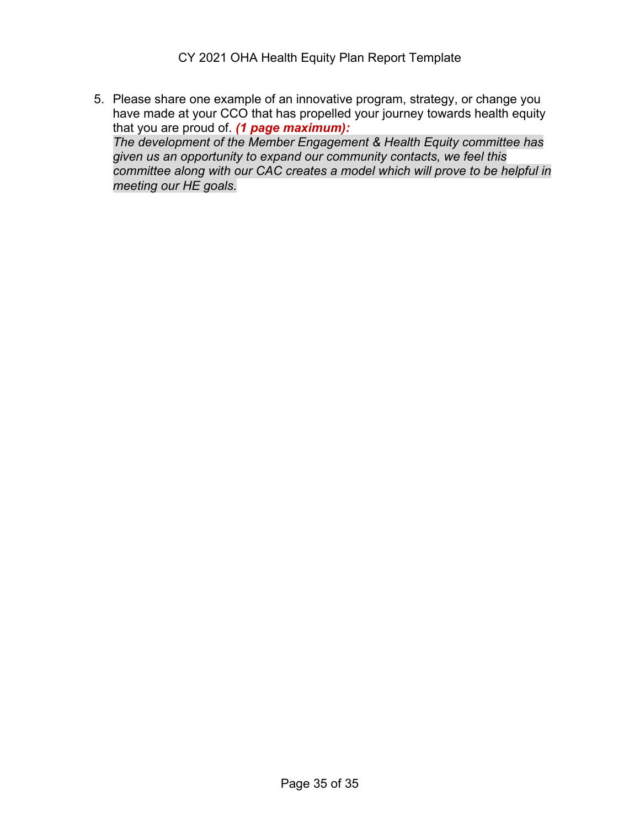CY 2021 OHA Health Equity Plan Report Template

5. Please share one example of an innovative program, strategy, or change you have made at your CCO that has propelled your journey towards health equity that you are proud of. *(1 page maximum): The development of the Member Engagement & Health Equity committee has given us an opportunity to expand our community contacts, we feel this committee along with our CAC creates a model which will prove to be helpful in meeting our HE goals.*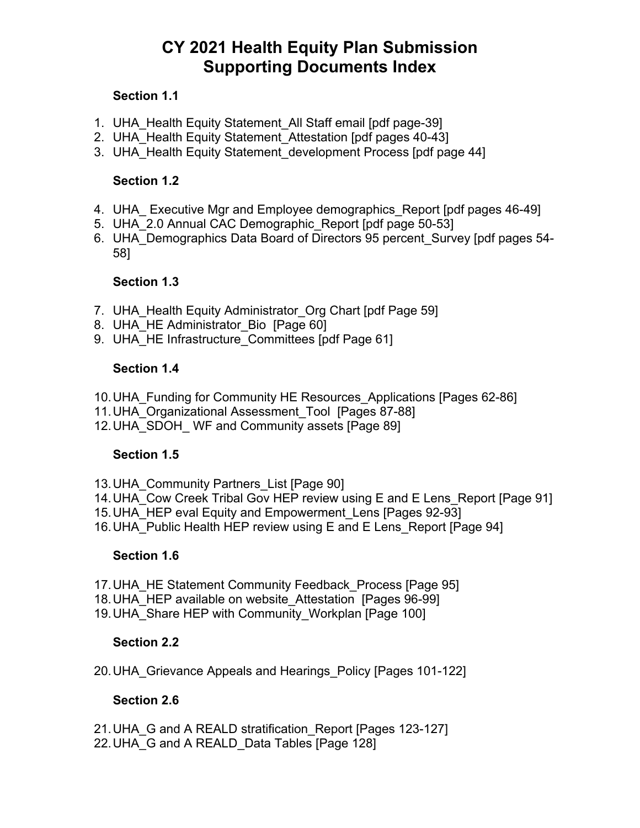## **CY 2021 Health Equity Plan Submission Supporting Documents Index**

#### **Section 1.1**

- 1. UHA Health Equity Statement All Staff email [pdf page-39]
- 2. UHA Health Equity Statement Attestation [pdf pages 40-43]
- 3. UHA Health Equity Statement development Process [pdf page 44]

#### **Section 1.2**

- 4. UHA Executive Mgr and Employee demographics Report [pdf pages 46-49]
- 5. UHA 2.0 Annual CAC Demographic Report [pdf page 50-53]
- 6. UHA\_Demographics Data Board of Directors 95 percent\_Survey [pdf pages 54- 58]

#### **Section 1.3**

- 7. UHA Health Equity Administrator Org Chart [pdf Page 59]
- 8. UHA HE Administrator Bio [Page 60]
- 9. UHA\_HE Infrastructure\_Committees [pdf Page 61]

#### **Section 1.4**

- 10.UHA\_Funding for Community HE Resources\_Applications [Pages 62-86]
- 11. UHA Organizational Assessment Tool [Pages 87-88]
- 12. UHA SDOH WF and Community assets [Page 89]

#### **Section 1.5**

- 13. UHA Community Partners List [Page 90]
- 14. UHA\_Cow Creek Tribal Gov HEP review using E and E Lens Report [Page 91]
- 15. UHA HEP eval Equity and Empowerment Lens [Pages 92-93]
- 16. UHA Public Health HEP review using E and E Lens Report [Page 94]

#### **Section 1.6**

- 17. UHA HE Statement Community Feedback Process [Page 95]
- 18. UHA HEP available on website Attestation [Pages 96-99]
- 19. UHA Share HEP with Community Workplan [Page 100]

#### **Section 2.2**

20.UHA\_Grievance Appeals and Hearings\_Policy [Pages 101-122]

#### **Section 2.6**

- 21. UHA G and A REALD stratification Report [Pages 123-127]
- 22. UHA G and A REALD Data Tables [Page 128]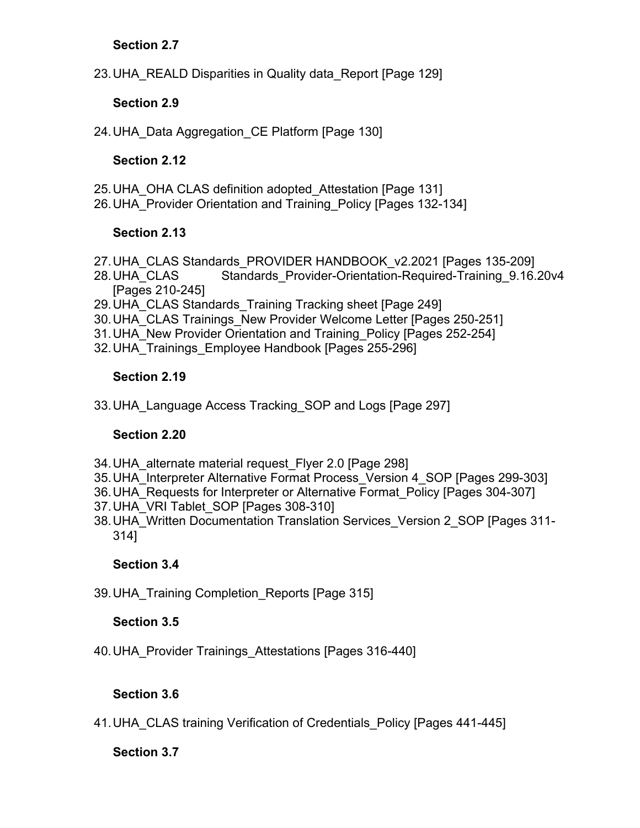#### **Section 2.7**

23.UHA\_REALD Disparities in Quality data\_Report [Page 129]

#### **Section 2.9**

24. UHA Data Aggregation CE Platform [Page 130]

#### **Section 2.12**

- 25.UHA\_OHA CLAS definition adopted\_Attestation [Page 131]
- 26.UHA\_Provider Orientation and Training\_Policy [Pages 132-134]

#### **Section 2.13**

- 27. UHA\_CLAS Standards\_PROVIDER HANDBOOK\_v2.2021 [Pages 135-209]
- 28. UHA\_CLAS Standards\_Provider-Orientation-Required-Training\_9.16.20v4 [Pages 210-245]
- 29. UHA CLAS Standards Training Tracking sheet [Page 249]
- 30.UHA\_CLAS Trainings\_New Provider Welcome Letter [Pages 250-251]
- 31.UHA\_New Provider Orientation and Training\_Policy [Pages 252-254]
- 32.UHA\_Trainings\_Employee Handbook [Pages 255-296]

#### **Section 2.19**

33.UHA\_Language Access Tracking\_SOP and Logs [Page 297]

#### **Section 2.20**

- 34.UHA\_alternate material request\_Flyer 2.0 [Page 298]
- 35.UHA\_Interpreter Alternative Format Process\_Version 4\_SOP [Pages 299-303]
- 36.UHA\_Requests for Interpreter or Alternative Format\_Policy [Pages 304-307]
- 37.UHA\_VRI Tablet\_SOP [Pages 308-310]
- 38.UHA\_Written Documentation Translation Services\_Version 2\_SOP [Pages 311- 314]

#### **Section 3.4**

39.UHA\_Training Completion\_Reports [Page 315]

#### **Section 3.5**

40.UHA\_Provider Trainings\_Attestations [Pages 316-440]

#### **Section 3.6**

41.UHA\_CLAS training Verification of Credentials\_Policy [Pages 441-445]

#### **Section 3.7**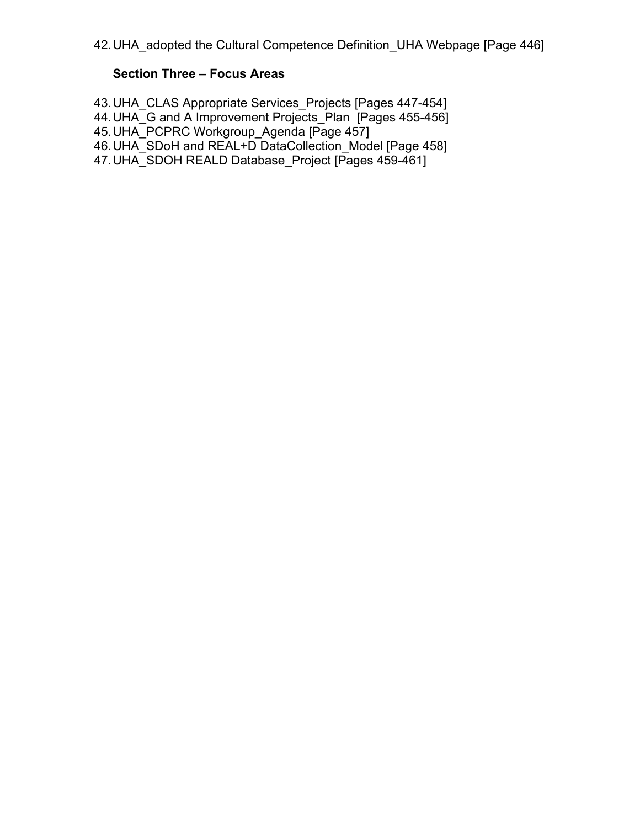### **Section Three – Focus Areas**

43.UHA\_CLAS Appropriate Services\_Projects [Pages 447-454]

44. UHA\_G and A Improvement Projects\_Plan [Pages 455-456]

45.UHA\_PCPRC Workgroup\_Agenda [Page 457]

46. UHA\_SDoH and REAL+D DataCollection Model [Page 458]

47. UHA\_SDOH REALD Database Project [Pages 459-461]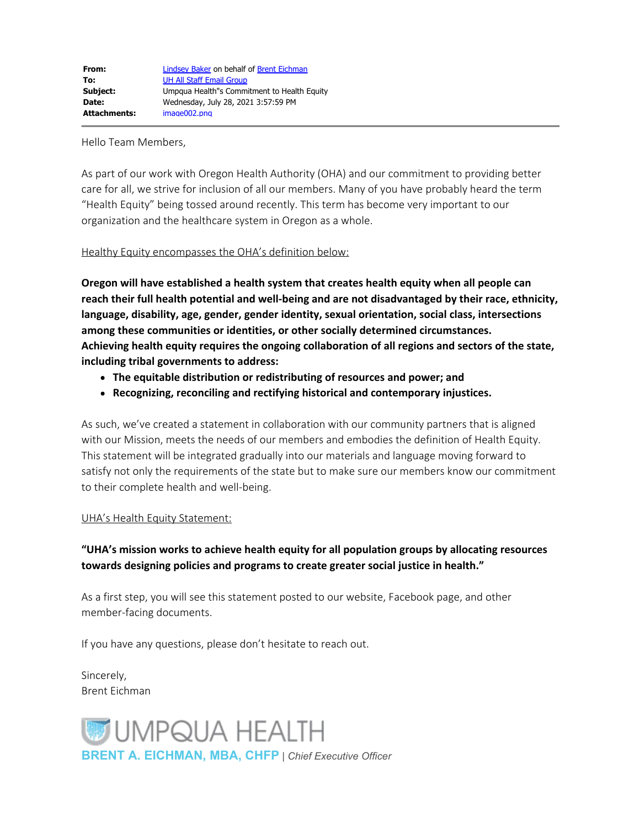Hello Team Members,

As part of our work with Oregon Health Authority (OHA) and our commitment to providing better care for all, we strive for inclusion of all our members. Many of you have probably heard the term "Health Equity" being tossed around recently. This term has become very important to our organization and the healthcare system in Oregon as a whole.

#### Healthy Equity encompasses the OHA's definition below:

**Oregon will have established a health system that creates health equity when all people can reach their full health potential and well-being and are not disadvantaged by their race, ethnicity, language, disability, age, gender, gender identity, sexual orientation, social class, intersections among these communities or identities, or other socially determined circumstances. Achieving health equity requires the ongoing collaboration of all regions and sectors of the state, including tribal governments to address:**

- **The equitable distribution or redistributing of resources and power; and**
- **Recognizing, reconciling and rectifying historical and contemporary injustices.**

As such, we've created a statement in collaboration with our community partners that is aligned with our Mission, meets the needs of our members and embodies the definition of Health Equity. This statement will be integrated gradually into our materials and language moving forward to satisfy not only the requirements of the state but to make sure our members know our commitment to their complete health and well-being.

#### UHA's Health Equity Statement:

#### **"UHA's mission works to achieve health equity for all population groups by allocating resources towards designing policies and programs to create greater social justice in health."**

As a first step, you will see this statement posted to our website, Facebook page, and other member-facing documents.

If you have any questions, please don't hesitate to reach out.

Sincerely, Brent Eichman

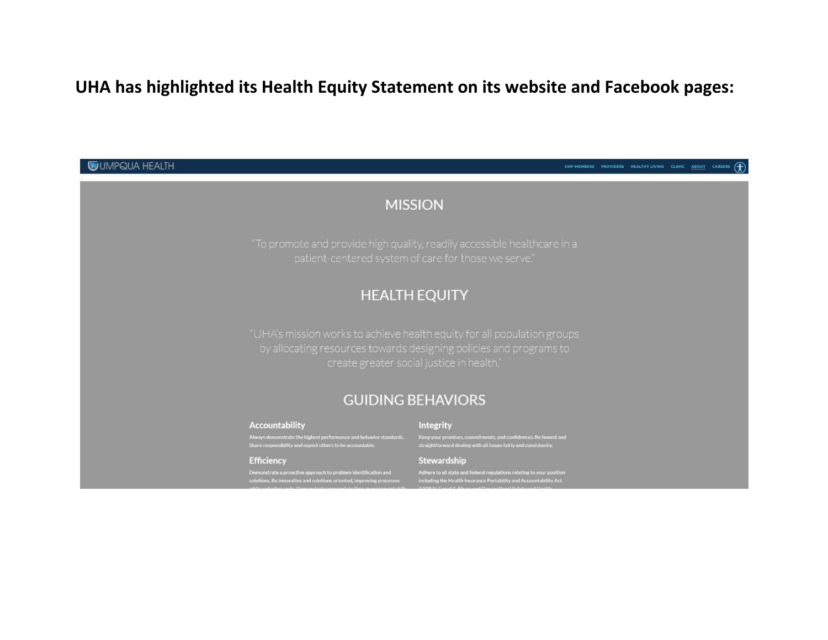## **UHA has highlighted its Health Equity Statement on its website and Facebook pages:**

**WUMPQUA HEALTH** 

OHP MEMBERS PROVIDERS HEALTHY LIVING CLINIC ABOUT CAREERS (

# **MISSION HEALTH EQUITY GUIDING BEHAVIORS Accountability** Integrity Always demonstrate the highest performance and behavior standards.<br>Share responsibility and expect others to be accountable. Keep your promises, commitments, and confidences. Be honest and<br>straightforward dealing with all issues fairly and consistently. Stewardship **Efficiency** Adhere to all state and federal regulations relating to your position<br>including the Health Insurance Portability and Accountability Act<br> $n$  UDA A). Count C. Abuse and Connectional Sections of Health Demonstrate a proactive approach to problem identification and<br>solutions. Be innovative and solutions oriented, improving processe<br>with the processes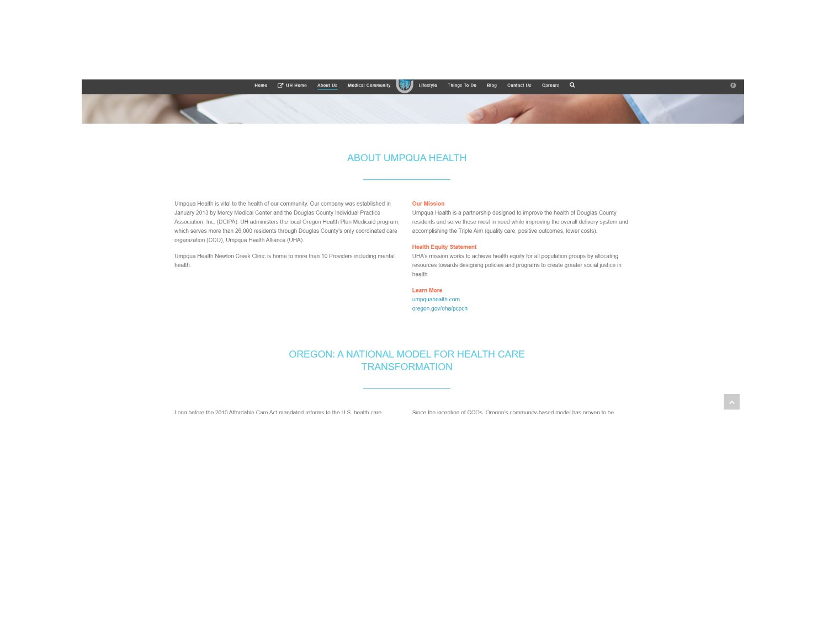

#### **ABOUT UMPQUA HEALTH**

Umpqua Health is vital to the health of our community. Our company was established in January 2013 by Mercy Medical Center and the Douglas County Individual Practice Association, Inc. (DCIPA). UH administers the local Oregon Health Plan Medicaid program. which serves more than 26,000 residents through Douglas County's only coordinated care organization (CCO), Umpqua Health Alliance (UHA).

Umpqua Health Newton Creek Clinic is home to more than 10 Providers including mental health.

#### **Our Mission**

Umpqua Health is a partnership designed to improve the health of Douglas County residents and serve those most in need while improving the overall delivery system and accomplishing the Triple Aim (quality care, positive outcomes, lower costs).

#### **Health Equity Statement**

UHA's mission works to achieve health equity for all population groups by allocating resources towards designing policies and programs to create greater social justice in health.

Learn More umpquahealth.com oregon.gov/oha/pcpch

#### OREGON: A NATIONAL MODEL FOR HEALTH CARE **TRANSFORMATION**

I ong before the 2010 Affordable Care Act mandated reforms to the U.S. health care

Since the incention of CCOs. Orenon's community based model has proven to be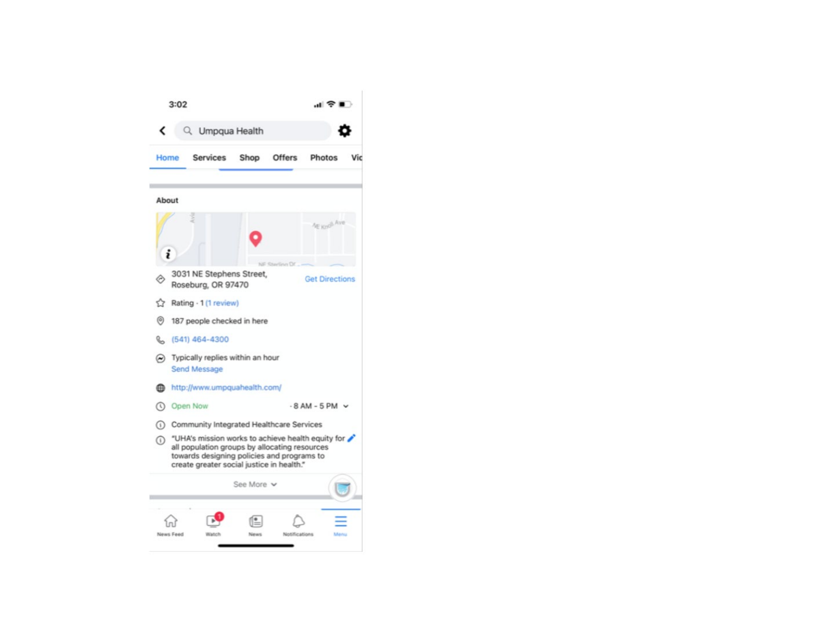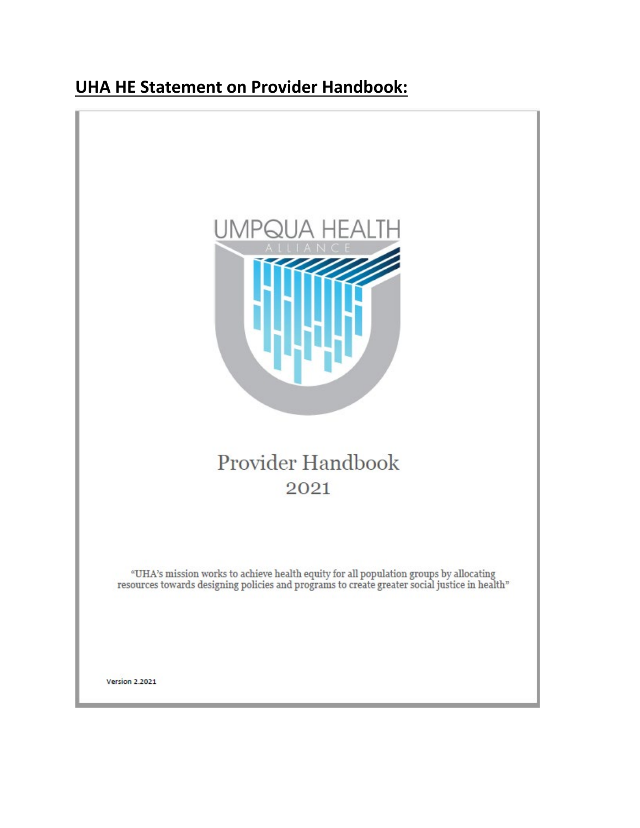## **UHA HE Statement on Provider Handbook:**



# Provider Handbook 2021

 $\rm ^{\alpha}UHA$  's mission works to achieve health equity for all population groups by allocating resources towards designing policies and programs to create greater social justice in health"

**Version 2.2021**